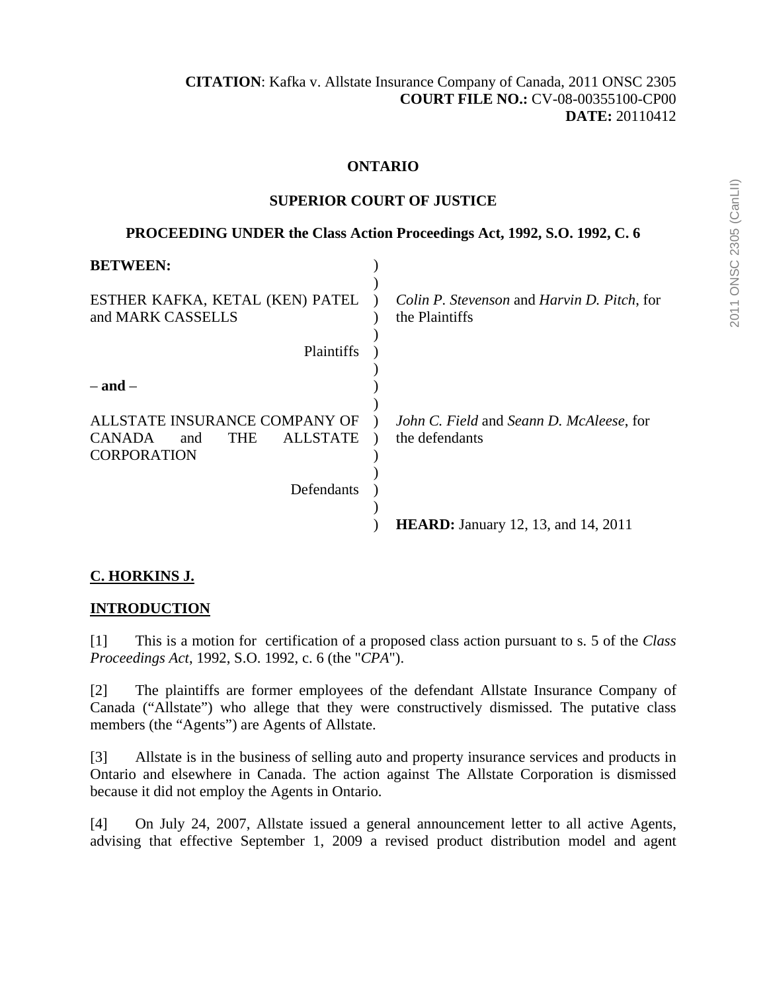## **ONTARIO**

### **SUPERIOR COURT OF JUSTICE**

## **PROCEEDING UNDER the Class Action Proceedings Act, 1992, S.O. 1992, C. 6**

| <b>BETWEEN:</b>                                                                                              |                                                               |
|--------------------------------------------------------------------------------------------------------------|---------------------------------------------------------------|
| ESTHER KAFKA, KETAL (KEN) PATEL<br>and MARK CASSELLS                                                         | Colin P. Stevenson and Harvin D. Pitch, for<br>the Plaintiffs |
| Plaintiffs                                                                                                   |                                                               |
| $-$ and $-$                                                                                                  |                                                               |
| ALLSTATE INSURANCE COMPANY OF<br><b>CANADA</b><br><b>THE</b><br><b>ALLSTATE</b><br>and<br><b>CORPORATION</b> | John C. Field and Seann D. McAleese, for<br>the defendants    |
| Defendants                                                                                                   |                                                               |
|                                                                                                              | <b>HEARD:</b> January 12, 13, and 14, 2011                    |

# **C. HORKINS J.**

# **INTRODUCTION**

[1] This is a motion for certification of a proposed class action pursuant to s. 5 of the *Class Proceedings Act*, 1992, S.O. 1992, c. 6 (the "*CPA*").

[2] The plaintiffs are former employees of the defendant Allstate Insurance Company of Canada ("Allstate") who allege that they were constructively dismissed. The putative class members (the "Agents") are Agents of Allstate.

[3] Allstate is in the business of selling auto and property insurance services and products in Ontario and elsewhere in Canada. The action against The Allstate Corporation is dismissed because it did not employ the Agents in Ontario.

[4] On July 24, 2007, Allstate issued a general announcement letter to all active Agents, advising that effective September 1, 2009 a revised product distribution model and agent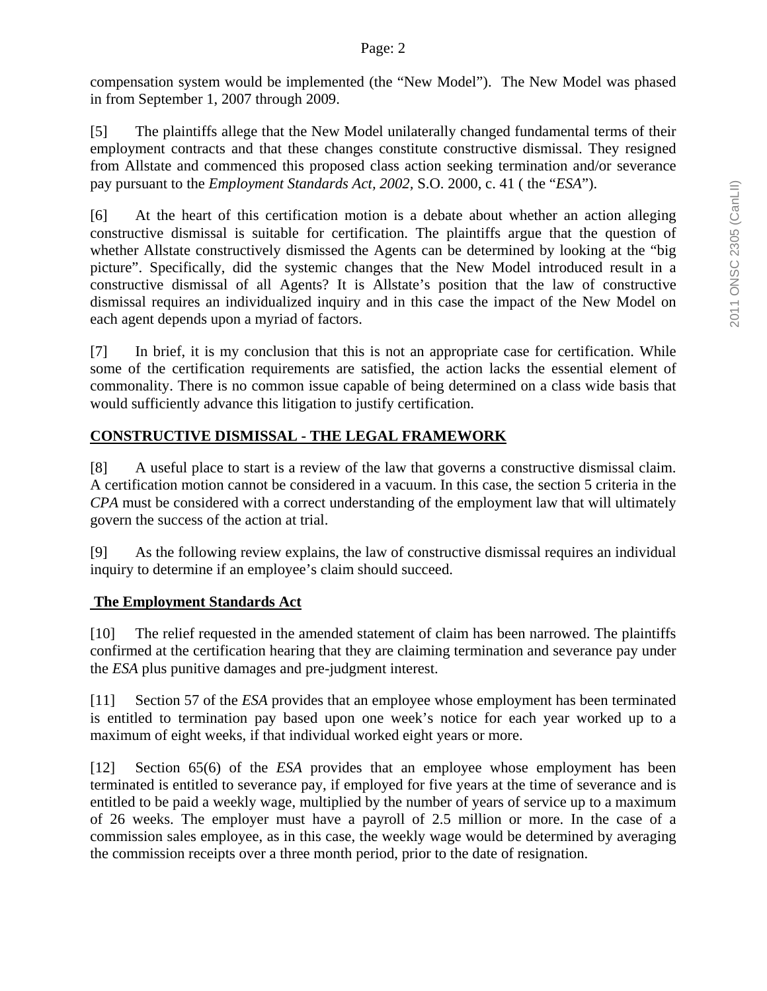compensation system would be implemented (the "New Model"). The New Model was phased in from September 1, 2007 through 2009.

[5] The plaintiffs allege that the New Model unilaterally changed fundamental terms of their employment contracts and that these changes constitute constructive dismissal. They resigned from Allstate and commenced this proposed class action seeking termination and/or severance pay pursuant to the *Employment Standards Act, 2002,* S.O. 2000, c. 41 ( the "*ESA*").

[6] At the heart of this certification motion is a debate about whether an action alleging constructive dismissal is suitable for certification. The plaintiffs argue that the question of whether Allstate constructively dismissed the Agents can be determined by looking at the "big picture". Specifically, did the systemic changes that the New Model introduced result in a constructive dismissal of all Agents? It is Allstate's position that the law of constructive dismissal requires an individualized inquiry and in this case the impact of the New Model on each agent depends upon a myriad of factors.

[7] In brief, it is my conclusion that this is not an appropriate case for certification. While some of the certification requirements are satisfied, the action lacks the essential element of commonality. There is no common issue capable of being determined on a class wide basis that would sufficiently advance this litigation to justify certification.

# **CONSTRUCTIVE DISMISSAL - THE LEGAL FRAMEWORK**

[8] A useful place to start is a review of the law that governs a constructive dismissal claim. A certification motion cannot be considered in a vacuum. In this case, the section 5 criteria in the *CPA* must be considered with a correct understanding of the employment law that will ultimately govern the success of the action at trial.

[9] As the following review explains, the law of constructive dismissal requires an individual inquiry to determine if an employee's claim should succeed.

# **The Employment Standards Act**

[10] The relief requested in the amended statement of claim has been narrowed. The plaintiffs confirmed at the certification hearing that they are claiming termination and severance pay under the *ESA* plus punitive damages and pre-judgment interest.

[11] Section 57 of the *ESA* provides that an employee whose employment has been terminated is entitled to termination pay based upon one week's notice for each year worked up to a maximum of eight weeks, if that individual worked eight years or more.

[12] Section 65(6) of the *ESA* provides that an employee whose employment has been terminated is entitled to severance pay, if employed for five years at the time of severance and is entitled to be paid a weekly wage, multiplied by the number of years of service up to a maximum of 26 weeks. The employer must have a payroll of 2.5 million or more. In the case of a commission sales employee, as in this case, the weekly wage would be determined by averaging the commission receipts over a three month period, prior to the date of resignation.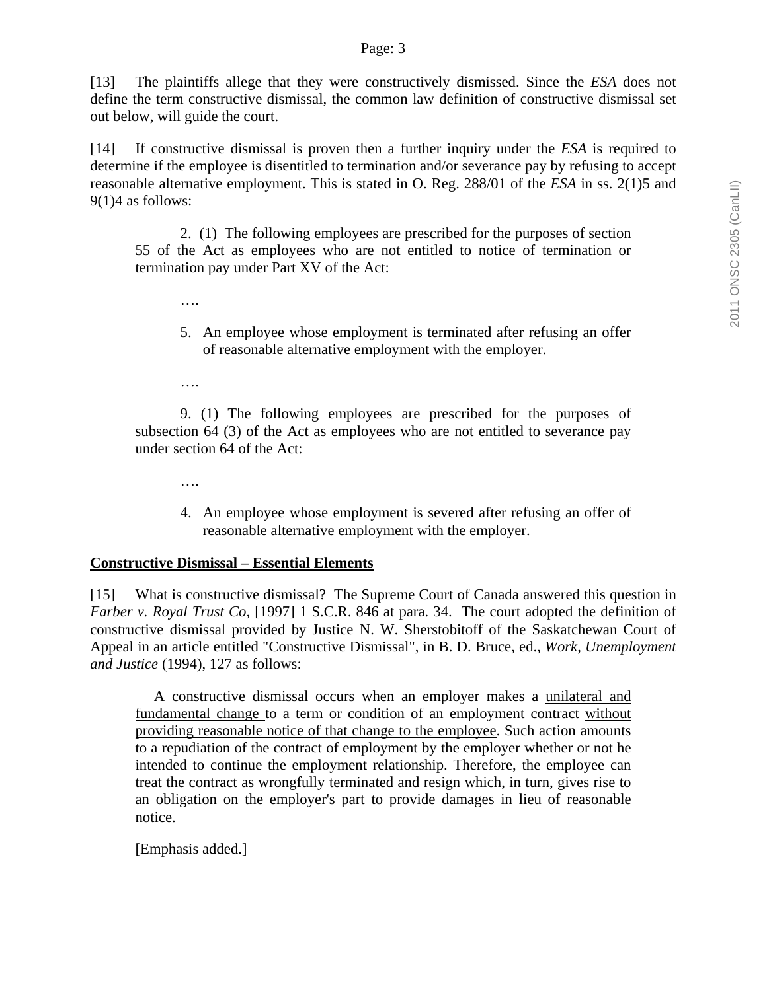#### Page: 3

[13] The plaintiffs allege that they were constructively dismissed. Since the *ESA* does not define the term constructive dismissal, the common law definition of constructive dismissal set out below, will guide the court.

[14] If constructive dismissal is proven then a further inquiry under the *ESA* is required to determine if the employee is disentitled to termination and/or severance pay by refusing to accept reasonable alternative employment. This is stated in O. Reg. 288/01 of the *ESA* in ss. 2(1)5 and 9(1)4 as follows:

 2. (1) The following employees are prescribed for the purposes of section 55 of the Act as employees who are not entitled to notice of termination or termination pay under Part XV of the Act:

- 5. An employee whose employment is terminated after refusing an offer of reasonable alternative employment with the employer.
- ….

….

 9. (1) The following employees are prescribed for the purposes of subsection 64 (3) of the Act as employees who are not entitled to severance pay under section 64 of the Act:

- ….
- 4. An employee whose employment is severed after refusing an offer of reasonable alternative employment with the employer.

#### **Constructive Dismissal – Essential Elements**

[15] What is constructive dismissal? The Supreme Court of Canada answered this question in *Farber v. Royal Trust Co,* [1997] 1 S.C.R. 846 at para. 34. The court adopted the definition of constructive dismissal provided by Justice N. W. Sherstobitoff of the Saskatchewan Court of Appeal in an article entitled "Constructive Dismissal", in B. D. Bruce, ed., *Work, Unemployment and Justice* (1994), 127 as follows:

 A constructive dismissal occurs when an employer makes a unilateral and fundamental change to a term or condition of an employment contract without providing reasonable notice of that change to the employee. Such action amounts to a repudiation of the contract of employment by the employer whether or not he intended to continue the employment relationship. Therefore, the employee can treat the contract as wrongfully terminated and resign which, in turn, gives rise to an obligation on the employer's part to provide damages in lieu of reasonable notice.

[Emphasis added.]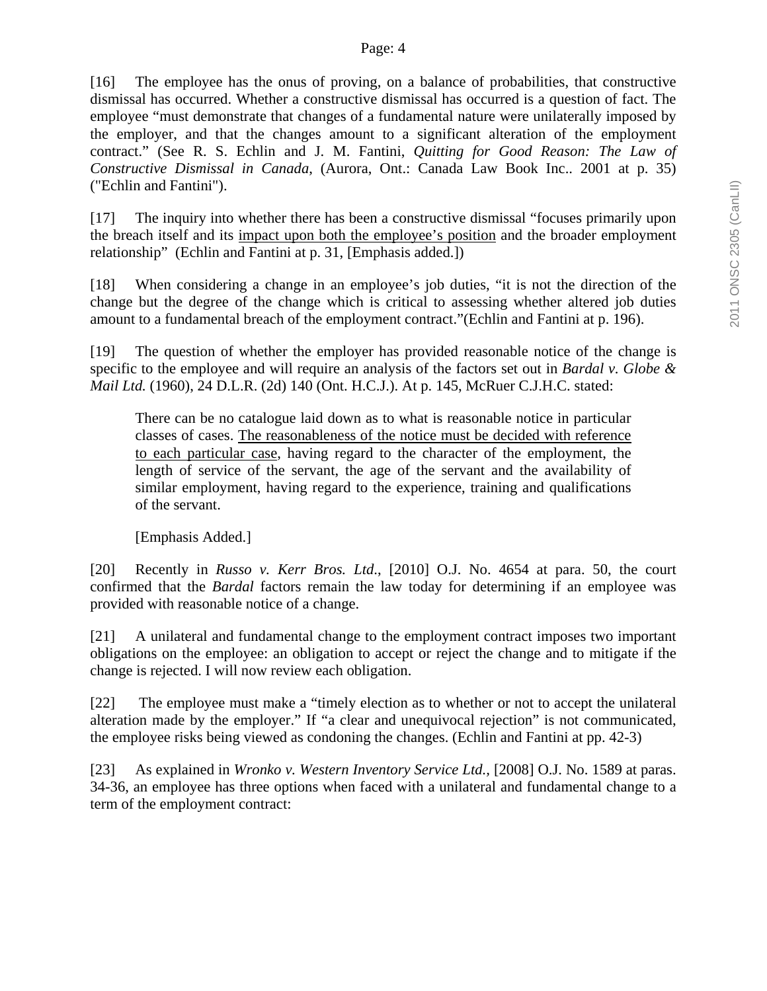[16] The employee has the onus of proving, on a balance of probabilities, that constructive dismissal has occurred. Whether a constructive dismissal has occurred is a question of fact. The employee "must demonstrate that changes of a fundamental nature were unilaterally imposed by the employer, and that the changes amount to a significant alteration of the employment contract." (See R. S. Echlin and J. M. Fantini, *Quitting for Good Reason: The Law of Constructive Dismissal in Canada*, (Aurora, Ont.: Canada Law Book Inc.. 2001 at p. 35) ("Echlin and Fantini").

[17] The inquiry into whether there has been a constructive dismissal "focuses primarily upon the breach itself and its impact upon both the employee's position and the broader employment relationship" (Echlin and Fantini at p. 31, [Emphasis added.])

[18] When considering a change in an employee's job duties, "it is not the direction of the change but the degree of the change which is critical to assessing whether altered job duties amount to a fundamental breach of the employment contract."(Echlin and Fantini at p. 196).

[19] The question of whether the employer has provided reasonable notice of the change is specific to the employee and will require an analysis of the factors set out in *Bardal v. Globe & Mail Ltd.* (1960), 24 D.L.R. (2d) 140 (Ont. H.C.J.). At p. 145, McRuer C.J.H.C. stated:

There can be no catalogue laid down as to what is reasonable notice in particular classes of cases. The reasonableness of the notice must be decided with reference to each particular case, having regard to the character of the employment, the length of service of the servant, the age of the servant and the availability of similar employment, having regard to the experience, training and qualifications of the servant.

[Emphasis Added.]

[20] Recently in *Russo v. Kerr Bros. Ltd*., [2010] O.J. No. 4654 at para. 50, the court confirmed that the *Bardal* factors remain the law today for determining if an employee was provided with reasonable notice of a change.

[21] A unilateral and fundamental change to the employment contract imposes two important obligations on the employee: an obligation to accept or reject the change and to mitigate if the change is rejected. I will now review each obligation.

[22] The employee must make a "timely election as to whether or not to accept the unilateral alteration made by the employer." If "a clear and unequivocal rejection" is not communicated, the employee risks being viewed as condoning the changes. (Echlin and Fantini at pp. 42-3)

[23] As explained in *Wronko v. Western Inventory Service Ltd.,* [2008] O.J. No. 1589 at paras. 34-36, an employee has three options when faced with a unilateral and fundamental change to a term of the employment contract: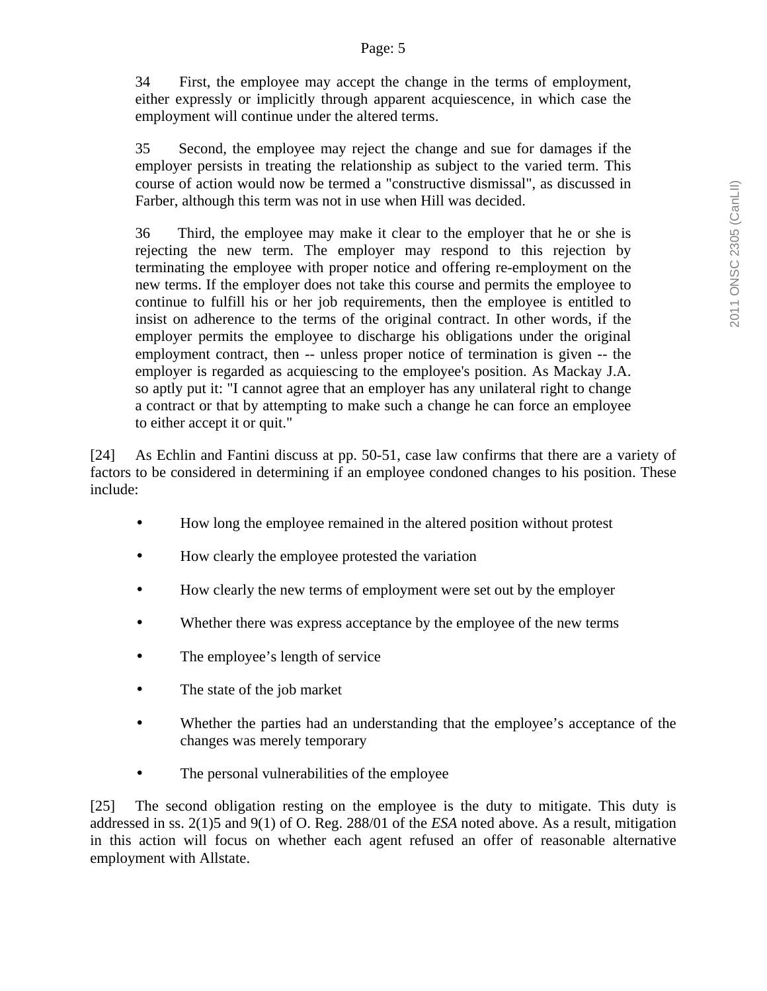34 First, the employee may accept the change in the terms of employment, either expressly or implicitly through apparent acquiescence, in which case the employment will continue under the altered terms.

35 Second, the employee may reject the change and sue for damages if the employer persists in treating the relationship as subject to the varied term. This course of action would now be termed a "constructive dismissal", as discussed in Farber, although this term was not in use when Hill was decided.

36 Third, the employee may make it clear to the employer that he or she is rejecting the new term. The employer may respond to this rejection by terminating the employee with proper notice and offering re-employment on the new terms. If the employer does not take this course and permits the employee to continue to fulfill his or her job requirements, then the employee is entitled to insist on adherence to the terms of the original contract. In other words, if the employer permits the employee to discharge his obligations under the original employment contract, then -- unless proper notice of termination is given -- the employer is regarded as acquiescing to the employee's position. As Mackay J.A. so aptly put it: "I cannot agree that an employer has any unilateral right to change a contract or that by attempting to make such a change he can force an employee to either accept it or quit."

[24] As Echlin and Fantini discuss at pp. 50-51, case law confirms that there are a variety of factors to be considered in determining if an employee condoned changes to his position. These include:

- How long the employee remained in the altered position without protest
- How clearly the employee protested the variation
- How clearly the new terms of employment were set out by the employer
- Whether there was express acceptance by the employee of the new terms
- The employee's length of service
- The state of the job market
- Whether the parties had an understanding that the employee's acceptance of the changes was merely temporary
- The personal vulnerabilities of the employee

[25] The second obligation resting on the employee is the duty to mitigate. This duty is addressed in ss. 2(1)5 and 9(1) of O. Reg. 288/01 of the *ESA* noted above. As a result, mitigation in this action will focus on whether each agent refused an offer of reasonable alternative employment with Allstate.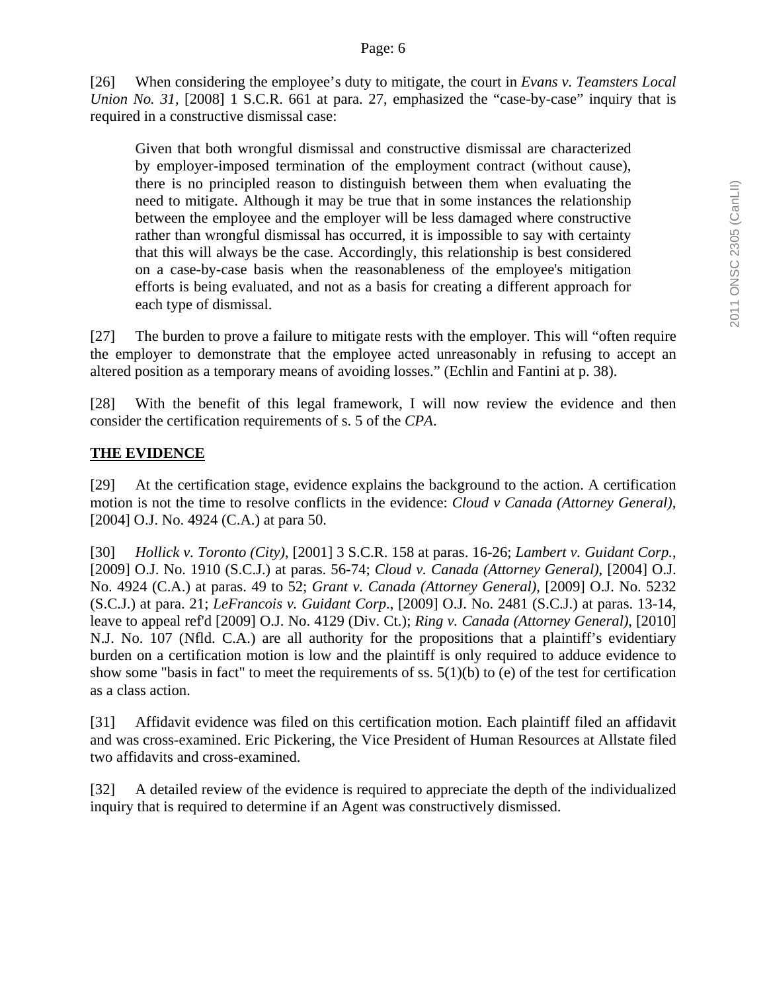[26] When considering the employee's duty to mitigate, the court in *Evans v. Teamsters Local Union No. 31*, [2008] 1 S.C.R. 661 at para. 27, emphasized the "case-by-case" inquiry that is required in a constructive dismissal case:

Given that both wrongful dismissal and constructive dismissal are characterized by employer-imposed termination of the employment contract (without cause), there is no principled reason to distinguish between them when evaluating the need to mitigate. Although it may be true that in some instances the relationship between the employee and the employer will be less damaged where constructive rather than wrongful dismissal has occurred, it is impossible to say with certainty that this will always be the case. Accordingly, this relationship is best considered on a case-by-case basis when the reasonableness of the employee's mitigation efforts is being evaluated, and not as a basis for creating a different approach for each type of dismissal.

[27] The burden to prove a failure to mitigate rests with the employer. This will "often require the employer to demonstrate that the employee acted unreasonably in refusing to accept an altered position as a temporary means of avoiding losses." (Echlin and Fantini at p. 38).

[28] With the benefit of this legal framework, I will now review the evidence and then consider the certification requirements of s. 5 of the *CPA*.

## **THE EVIDENCE**

[29] At the certification stage, evidence explains the background to the action. A certification motion is not the time to resolve conflicts in the evidence: *Cloud v Canada (Attorney General)*, [2004] O.J. No. 4924 (C.A.) at para 50.

[30] *Hollick v. Toronto (City)*, [2001] 3 S.C.R. 158 at paras. 16-26; *Lambert v. Guidant Corp.*, [2009] O.J. No. 1910 (S.C.J.) at paras. 56-74; *Cloud v. Canada (Attorney General)*, [2004] O.J. No. 4924 (C.A.) at paras. 49 to 52; *Grant v. Canada (Attorney General),* [2009] O.J. No. 5232 (S.C.J.) at para. 21; *LeFrancois v. Guidant Corp*., [2009] O.J. No. 2481 (S.C.J.) at paras. 13-14, leave to appeal ref'd [2009] O.J. No. 4129 (Div. Ct.); *Ring v. Canada (Attorney General)*, [2010] N.J. No. 107 (Nfld. C.A.) are all authority for the propositions that a plaintiff's evidentiary burden on a certification motion is low and the plaintiff is only required to adduce evidence to show some "basis in fact" to meet the requirements of ss.  $5(1)(b)$  to (e) of the test for certification as a class action.

[31] Affidavit evidence was filed on this certification motion. Each plaintiff filed an affidavit and was cross-examined. Eric Pickering, the Vice President of Human Resources at Allstate filed two affidavits and cross-examined.

[32] A detailed review of the evidence is required to appreciate the depth of the individualized inquiry that is required to determine if an Agent was constructively dismissed.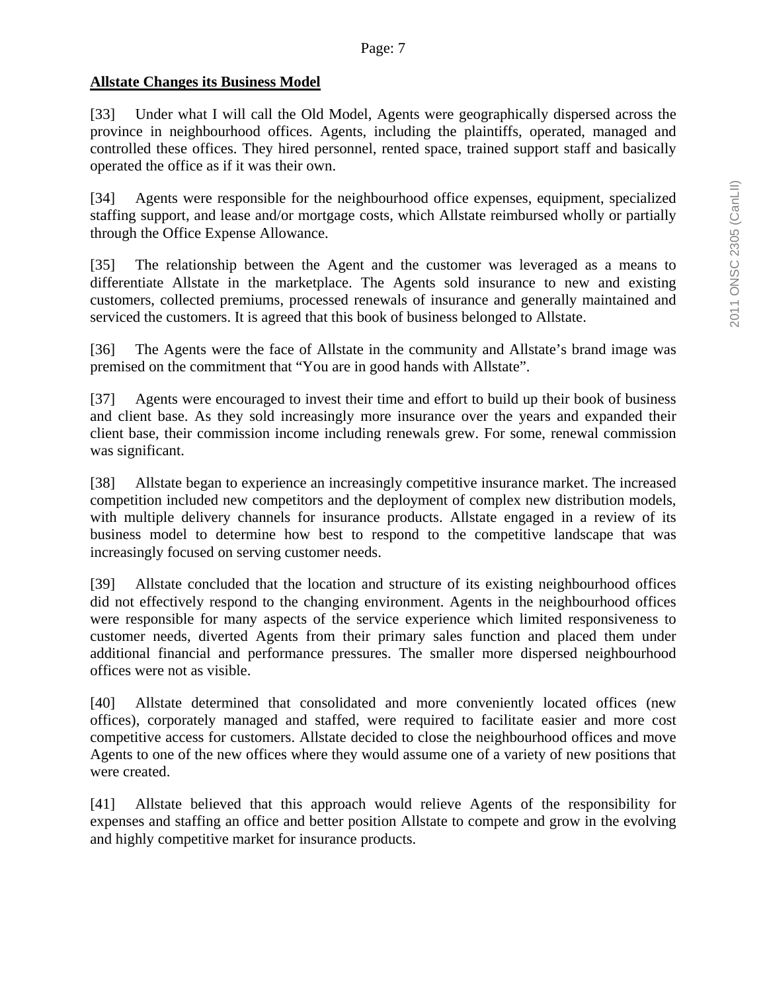### **Allstate Changes its Business Model**

[33] Under what I will call the Old Model, Agents were geographically dispersed across the province in neighbourhood offices. Agents, including the plaintiffs, operated, managed and controlled these offices. They hired personnel, rented space, trained support staff and basically operated the office as if it was their own.

[34] Agents were responsible for the neighbourhood office expenses, equipment, specialized staffing support, and lease and/or mortgage costs, which Allstate reimbursed wholly or partially through the Office Expense Allowance.

[35] The relationship between the Agent and the customer was leveraged as a means to differentiate Allstate in the marketplace. The Agents sold insurance to new and existing customers, collected premiums, processed renewals of insurance and generally maintained and serviced the customers. It is agreed that this book of business belonged to Allstate.

[36] The Agents were the face of Allstate in the community and Allstate's brand image was premised on the commitment that "You are in good hands with Allstate".

[37] Agents were encouraged to invest their time and effort to build up their book of business and client base. As they sold increasingly more insurance over the years and expanded their client base, their commission income including renewals grew. For some, renewal commission was significant.

[38] Allstate began to experience an increasingly competitive insurance market. The increased competition included new competitors and the deployment of complex new distribution models, with multiple delivery channels for insurance products. Allstate engaged in a review of its business model to determine how best to respond to the competitive landscape that was increasingly focused on serving customer needs.

[39] Allstate concluded that the location and structure of its existing neighbourhood offices did not effectively respond to the changing environment. Agents in the neighbourhood offices were responsible for many aspects of the service experience which limited responsiveness to customer needs, diverted Agents from their primary sales function and placed them under additional financial and performance pressures. The smaller more dispersed neighbourhood offices were not as visible.

[40] Allstate determined that consolidated and more conveniently located offices (new offices), corporately managed and staffed, were required to facilitate easier and more cost competitive access for customers. Allstate decided to close the neighbourhood offices and move Agents to one of the new offices where they would assume one of a variety of new positions that were created.

[41] Allstate believed that this approach would relieve Agents of the responsibility for expenses and staffing an office and better position Allstate to compete and grow in the evolving and highly competitive market for insurance products.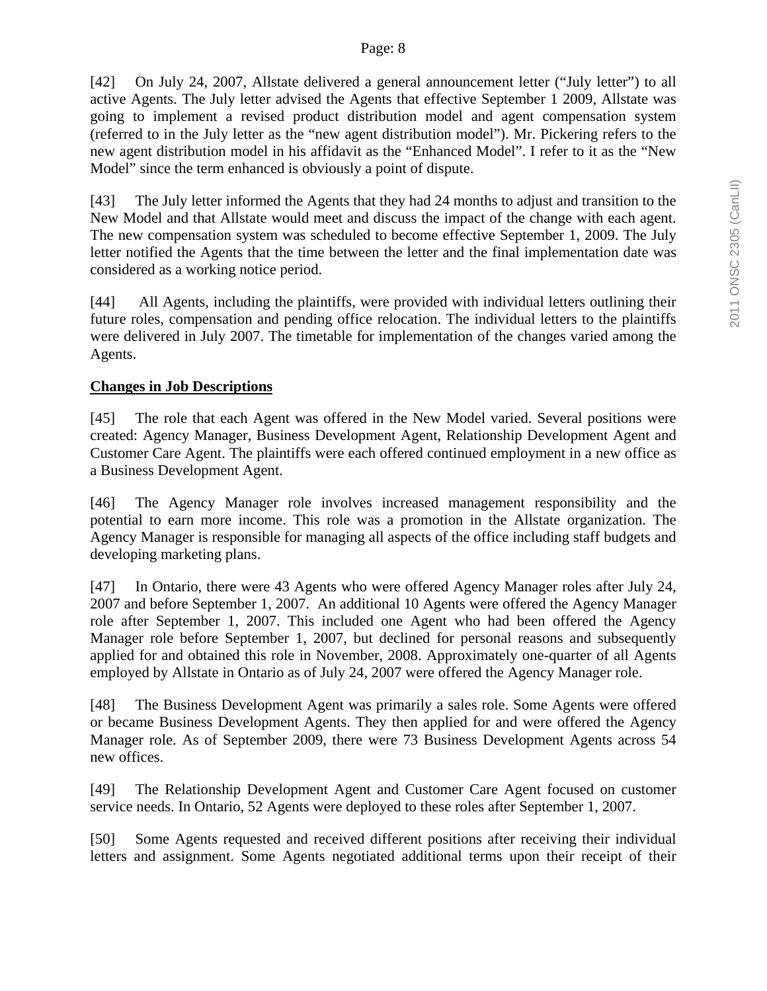[42] On July 24, 2007, Allstate delivered a general announcement letter ("July letter") to all active Agents. The July letter advised the Agents that effective September 1 2009, Allstate was going to implement a revised product distribution model and agent compensation system (referred to in the July letter as the "new agent distribution model"). Mr. Pickering refers to the new agent distribution model in his affidavit as the "Enhanced Model". I refer to it as the "New Model" since the term enhanced is obviously a point of dispute.

[43] The July letter informed the Agents that they had 24 months to adjust and transition to the New Model and that Allstate would meet and discuss the impact of the change with each agent. The new compensation system was scheduled to become effective September 1, 2009. The July letter notified the Agents that the time between the letter and the final implementation date was considered as a working notice period.

[44] All Agents, including the plaintiffs, were provided with individual letters outlining their future roles, compensation and pending office relocation. The individual letters to the plaintiffs were delivered in July 2007. The timetable for implementation of the changes varied among the Agents.

## **Changes in Job Descriptions**

[45] The role that each Agent was offered in the New Model varied. Several positions were created: Agency Manager, Business Development Agent, Relationship Development Agent and Customer Care Agent. The plaintiffs were each offered continued employment in a new office as a Business Development Agent.

[46] The Agency Manager role involves increased management responsibility and the potential to earn more income. This role was a promotion in the Allstate organization. The Agency Manager is responsible for managing all aspects of the office including staff budgets and developing marketing plans.

[47] In Ontario, there were 43 Agents who were offered Agency Manager roles after July 24, 2007 and before September 1, 2007. An additional 10 Agents were offered the Agency Manager role after September 1, 2007. This included one Agent who had been offered the Agency Manager role before September 1, 2007, but declined for personal reasons and subsequently applied for and obtained this role in November, 2008. Approximately one-quarter of all Agents employed by Allstate in Ontario as of July 24, 2007 were offered the Agency Manager role.

[48] The Business Development Agent was primarily a sales role. Some Agents were offered or became Business Development Agents. They then applied for and were offered the Agency Manager role. As of September 2009, there were 73 Business Development Agents across 54 new offices.

[49] The Relationship Development Agent and Customer Care Agent focused on customer service needs. In Ontario, 52 Agents were deployed to these roles after September 1, 2007.

[50] Some Agents requested and received different positions after receiving their individual letters and assignment. Some Agents negotiated additional terms upon their receipt of their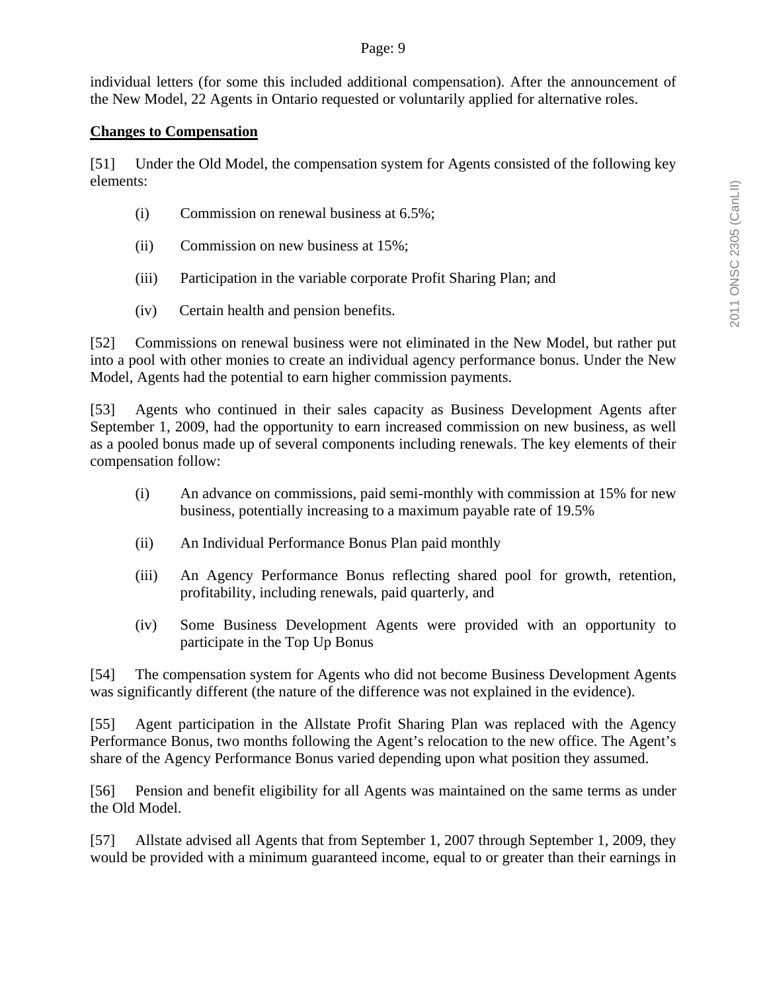### Page: 9

individual letters (for some this included additional compensation). After the announcement of the New Model, 22 Agents in Ontario requested or voluntarily applied for alternative roles.

### **Changes to Compensation**

[51] Under the Old Model, the compensation system for Agents consisted of the following key elements:

- (i) Commission on renewal business at 6.5%;
- (ii) Commission on new business at 15%;
- (iii) Participation in the variable corporate Profit Sharing Plan; and
- (iv) Certain health and pension benefits.

[52] Commissions on renewal business were not eliminated in the New Model, but rather put into a pool with other monies to create an individual agency performance bonus. Under the New Model, Agents had the potential to earn higher commission payments.

[53] Agents who continued in their sales capacity as Business Development Agents after September 1, 2009, had the opportunity to earn increased commission on new business, as well as a pooled bonus made up of several components including renewals. The key elements of their compensation follow:

- (i) An advance on commissions, paid semi-monthly with commission at 15% for new business, potentially increasing to a maximum payable rate of 19.5%
- (ii) An Individual Performance Bonus Plan paid monthly
- (iii) An Agency Performance Bonus reflecting shared pool for growth, retention, profitability, including renewals, paid quarterly, and
- (iv) Some Business Development Agents were provided with an opportunity to participate in the Top Up Bonus

[54] The compensation system for Agents who did not become Business Development Agents was significantly different (the nature of the difference was not explained in the evidence).

[55] Agent participation in the Allstate Profit Sharing Plan was replaced with the Agency Performance Bonus, two months following the Agent's relocation to the new office. The Agent's share of the Agency Performance Bonus varied depending upon what position they assumed.

[56] Pension and benefit eligibility for all Agents was maintained on the same terms as under the Old Model.

[57] Allstate advised all Agents that from September 1, 2007 through September 1, 2009, they would be provided with a minimum guaranteed income, equal to or greater than their earnings in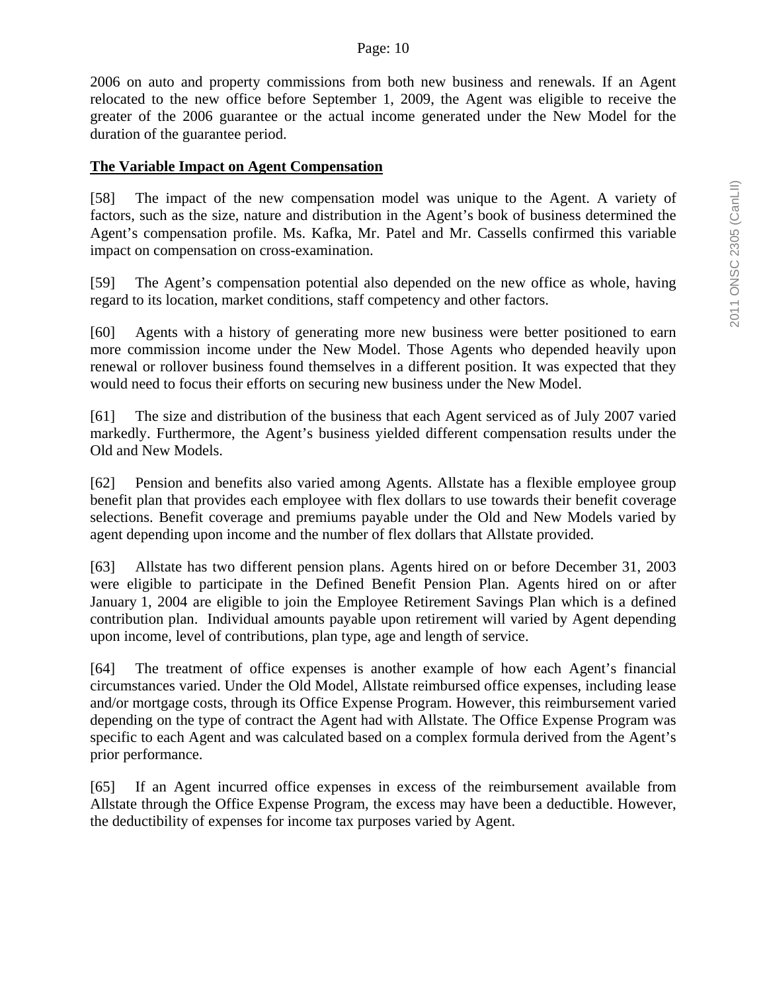2006 on auto and property commissions from both new business and renewals. If an Agent relocated to the new office before September 1, 2009, the Agent was eligible to receive the greater of the 2006 guarantee or the actual income generated under the New Model for the duration of the guarantee period.

#### **The Variable Impact on Agent Compensation**

[58] The impact of the new compensation model was unique to the Agent. A variety of factors, such as the size, nature and distribution in the Agent's book of business determined the Agent's compensation profile. Ms. Kafka, Mr. Patel and Mr. Cassells confirmed this variable impact on compensation on cross-examination.

[59] The Agent's compensation potential also depended on the new office as whole, having regard to its location, market conditions, staff competency and other factors.

[60] Agents with a history of generating more new business were better positioned to earn more commission income under the New Model. Those Agents who depended heavily upon renewal or rollover business found themselves in a different position. It was expected that they would need to focus their efforts on securing new business under the New Model.

[61] The size and distribution of the business that each Agent serviced as of July 2007 varied markedly. Furthermore, the Agent's business yielded different compensation results under the Old and New Models.

[62] Pension and benefits also varied among Agents. Allstate has a flexible employee group benefit plan that provides each employee with flex dollars to use towards their benefit coverage selections. Benefit coverage and premiums payable under the Old and New Models varied by agent depending upon income and the number of flex dollars that Allstate provided.

[63] Allstate has two different pension plans. Agents hired on or before December 31, 2003 were eligible to participate in the Defined Benefit Pension Plan. Agents hired on or after January 1, 2004 are eligible to join the Employee Retirement Savings Plan which is a defined contribution plan. Individual amounts payable upon retirement will varied by Agent depending upon income, level of contributions, plan type, age and length of service.

[64] The treatment of office expenses is another example of how each Agent's financial circumstances varied. Under the Old Model, Allstate reimbursed office expenses, including lease and/or mortgage costs, through its Office Expense Program. However, this reimbursement varied depending on the type of contract the Agent had with Allstate. The Office Expense Program was specific to each Agent and was calculated based on a complex formula derived from the Agent's prior performance.

[65] If an Agent incurred office expenses in excess of the reimbursement available from Allstate through the Office Expense Program, the excess may have been a deductible. However, the deductibility of expenses for income tax purposes varied by Agent.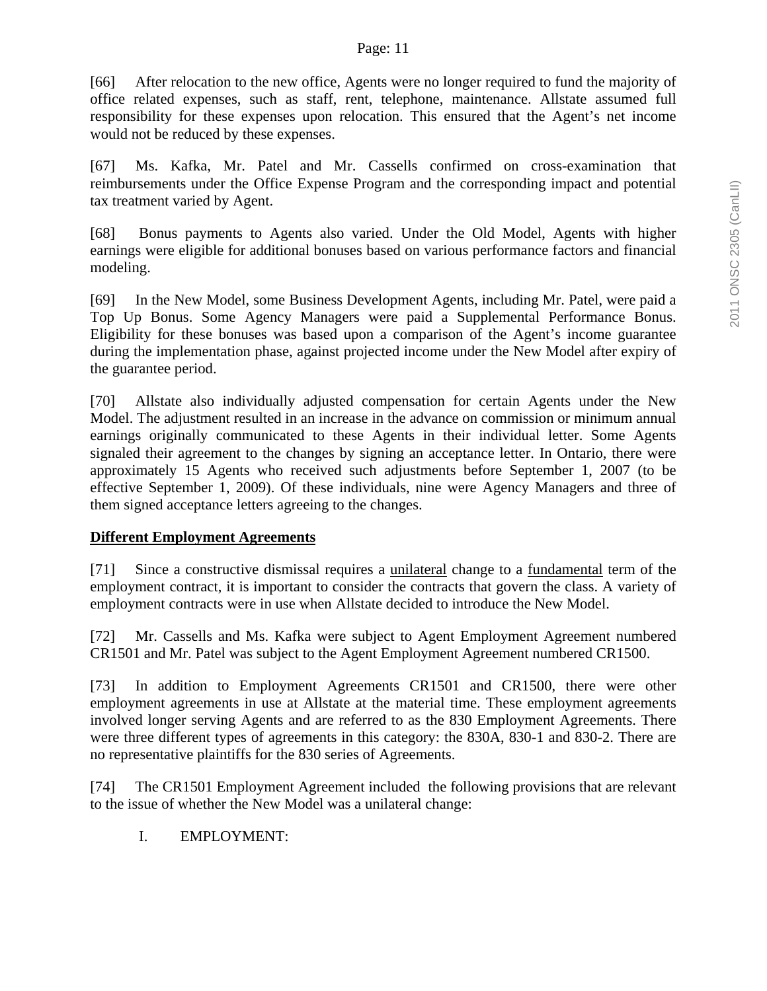#### Page: 11

[66] After relocation to the new office, Agents were no longer required to fund the majority of office related expenses, such as staff, rent, telephone, maintenance. Allstate assumed full responsibility for these expenses upon relocation. This ensured that the Agent's net income would not be reduced by these expenses.

[67] Ms. Kafka, Mr. Patel and Mr. Cassells confirmed on cross-examination that reimbursements under the Office Expense Program and the corresponding impact and potential tax treatment varied by Agent.

[68] Bonus payments to Agents also varied. Under the Old Model, Agents with higher earnings were eligible for additional bonuses based on various performance factors and financial modeling.

[69] In the New Model, some Business Development Agents, including Mr. Patel, were paid a Top Up Bonus. Some Agency Managers were paid a Supplemental Performance Bonus. Eligibility for these bonuses was based upon a comparison of the Agent's income guarantee during the implementation phase, against projected income under the New Model after expiry of the guarantee period.

[70] Allstate also individually adjusted compensation for certain Agents under the New Model. The adjustment resulted in an increase in the advance on commission or minimum annual earnings originally communicated to these Agents in their individual letter. Some Agents signaled their agreement to the changes by signing an acceptance letter. In Ontario, there were approximately 15 Agents who received such adjustments before September 1, 2007 (to be effective September 1, 2009). Of these individuals, nine were Agency Managers and three of them signed acceptance letters agreeing to the changes.

## **Different Employment Agreements**

[71] Since a constructive dismissal requires a unilateral change to a fundamental term of the employment contract, it is important to consider the contracts that govern the class. A variety of employment contracts were in use when Allstate decided to introduce the New Model.

[72] Mr. Cassells and Ms. Kafka were subject to Agent Employment Agreement numbered CR1501 and Mr. Patel was subject to the Agent Employment Agreement numbered CR1500.

[73] In addition to Employment Agreements CR1501 and CR1500, there were other employment agreements in use at Allstate at the material time. These employment agreements involved longer serving Agents and are referred to as the 830 Employment Agreements. There were three different types of agreements in this category: the 830A, 830-1 and 830-2. There are no representative plaintiffs for the 830 series of Agreements.

[74] The CR1501 Employment Agreement included the following provisions that are relevant to the issue of whether the New Model was a unilateral change:

I. EMPLOYMENT: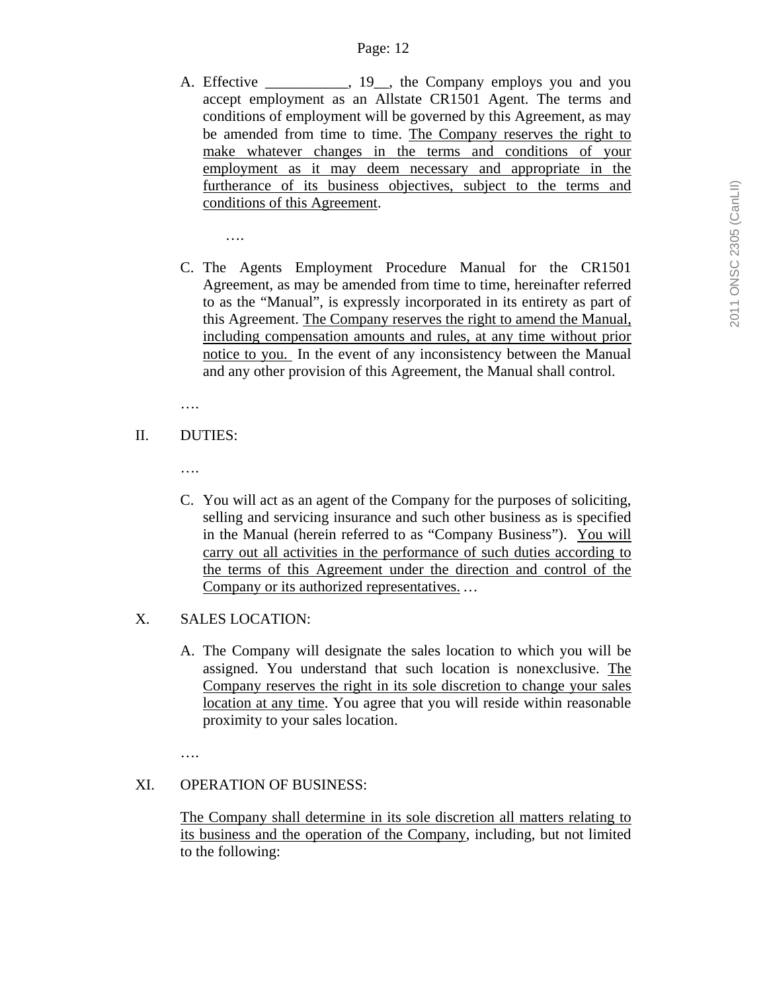- A. Effective \_\_\_\_\_\_\_\_, 19\_, the Company employs you and you accept employment as an Allstate CR1501 Agent. The terms and conditions of employment will be governed by this Agreement, as may be amended from time to time. The Company reserves the right to make whatever changes in the terms and conditions of your employment as it may deem necessary and appropriate in the furtherance of its business objectives, subject to the terms and conditions of this Agreement.
	- ….
- C. The Agents Employment Procedure Manual for the CR1501 Agreement, as may be amended from time to time, hereinafter referred to as the "Manual", is expressly incorporated in its entirety as part of this Agreement. The Company reserves the right to amend the Manual, including compensation amounts and rules, at any time without prior notice to you. In the event of any inconsistency between the Manual and any other provision of this Agreement, the Manual shall control.

….

- II. DUTIES:
	- ….
	- C. You will act as an agent of the Company for the purposes of soliciting, selling and servicing insurance and such other business as is specified in the Manual (herein referred to as "Company Business"). You will carry out all activities in the performance of such duties according to the terms of this Agreement under the direction and control of the Company or its authorized representatives. *…*
- X. SALES LOCATION:
	- A. The Company will designate the sales location to which you will be assigned. You understand that such location is nonexclusive. The Company reserves the right in its sole discretion to change your sales location at any time. You agree that you will reside within reasonable proximity to your sales location.

….

#### XI. OPERATION OF BUSINESS:

The Company shall determine in its sole discretion all matters relating to its business and the operation of the Company, including, but not limited to the following: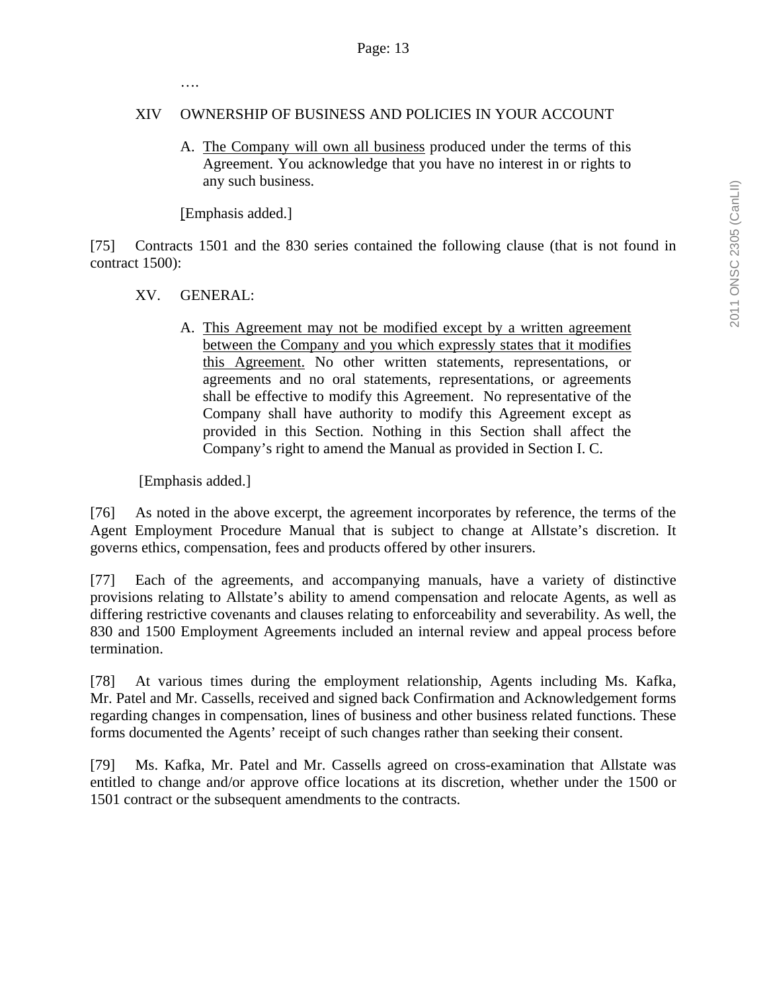….

#### XIV OWNERSHIP OF BUSINESS AND POLICIES IN YOUR ACCOUNT

A. The Company will own all business produced under the terms of this Agreement. You acknowledge that you have no interest in or rights to any such business.

[Emphasis added.]

[75] Contracts 1501 and the 830 series contained the following clause (that is not found in contract 1500):

#### XV. GENERAL:

A. This Agreement may not be modified except by a written agreement between the Company and you which expressly states that it modifies this Agreement. No other written statements, representations, or agreements and no oral statements, representations, or agreements shall be effective to modify this Agreement. No representative of the Company shall have authority to modify this Agreement except as provided in this Section. Nothing in this Section shall affect the Company's right to amend the Manual as provided in Section I. C.

[Emphasis added.]

[76] As noted in the above excerpt, the agreement incorporates by reference, the terms of the Agent Employment Procedure Manual that is subject to change at Allstate's discretion. It governs ethics, compensation, fees and products offered by other insurers.

[77] Each of the agreements, and accompanying manuals, have a variety of distinctive provisions relating to Allstate's ability to amend compensation and relocate Agents, as well as differing restrictive covenants and clauses relating to enforceability and severability. As well, the 830 and 1500 Employment Agreements included an internal review and appeal process before termination.

[78] At various times during the employment relationship, Agents including Ms. Kafka, Mr. Patel and Mr. Cassells, received and signed back Confirmation and Acknowledgement forms regarding changes in compensation, lines of business and other business related functions. These forms documented the Agents' receipt of such changes rather than seeking their consent.

[79] Ms. Kafka, Mr. Patel and Mr. Cassells agreed on cross-examination that Allstate was entitled to change and/or approve office locations at its discretion, whether under the 1500 or 1501 contract or the subsequent amendments to the contracts.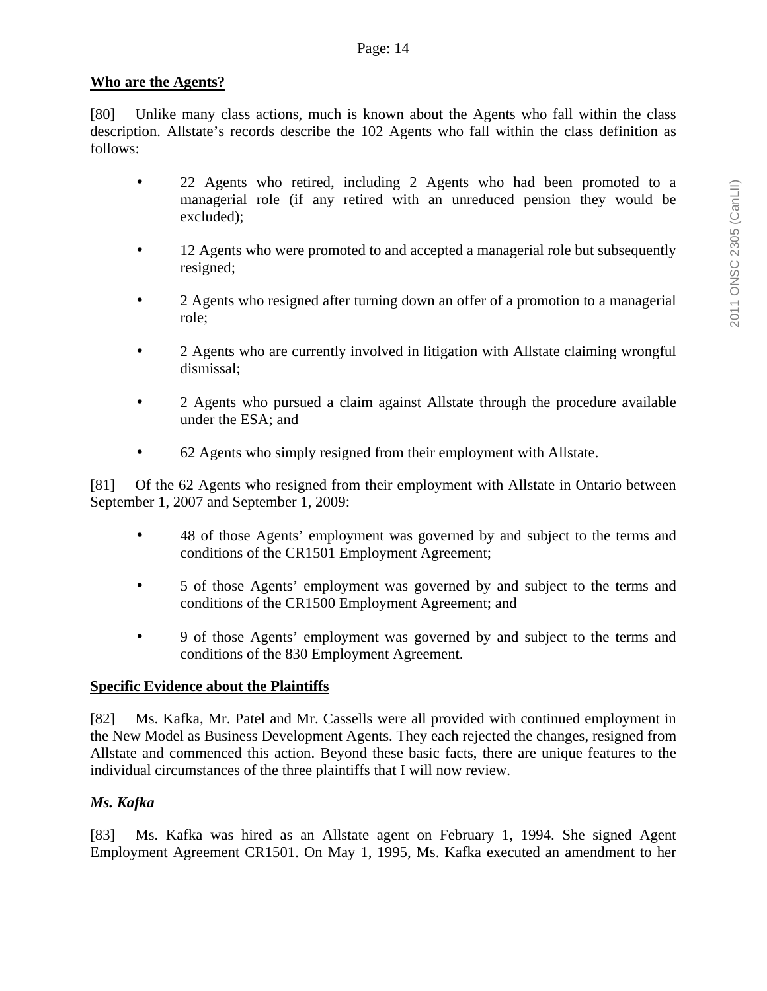## **Who are the Agents?**

[80] Unlike many class actions, much is known about the Agents who fall within the class description. Allstate's records describe the 102 Agents who fall within the class definition as follows:

- 22 Agents who retired, including 2 Agents who had been promoted to a managerial role (if any retired with an unreduced pension they would be excluded);
- 12 Agents who were promoted to and accepted a managerial role but subsequently resigned;
- 2 Agents who resigned after turning down an offer of a promotion to a managerial role;
- 2 Agents who are currently involved in litigation with Allstate claiming wrongful dismissal;
- 2 Agents who pursued a claim against Allstate through the procedure available under the ESA; and
- 62 Agents who simply resigned from their employment with Allstate.

[81] Of the 62 Agents who resigned from their employment with Allstate in Ontario between September 1, 2007 and September 1, 2009:

- 48 of those Agents' employment was governed by and subject to the terms and conditions of the CR1501 Employment Agreement;
- 5 of those Agents' employment was governed by and subject to the terms and conditions of the CR1500 Employment Agreement; and
- 9 of those Agents' employment was governed by and subject to the terms and conditions of the 830 Employment Agreement.

## **Specific Evidence about the Plaintiffs**

[82] Ms. Kafka, Mr. Patel and Mr. Cassells were all provided with continued employment in the New Model as Business Development Agents. They each rejected the changes, resigned from Allstate and commenced this action. Beyond these basic facts, there are unique features to the individual circumstances of the three plaintiffs that I will now review.

## *Ms. Kafka*

[83] Ms. Kafka was hired as an Allstate agent on February 1, 1994. She signed Agent Employment Agreement CR1501. On May 1, 1995, Ms. Kafka executed an amendment to her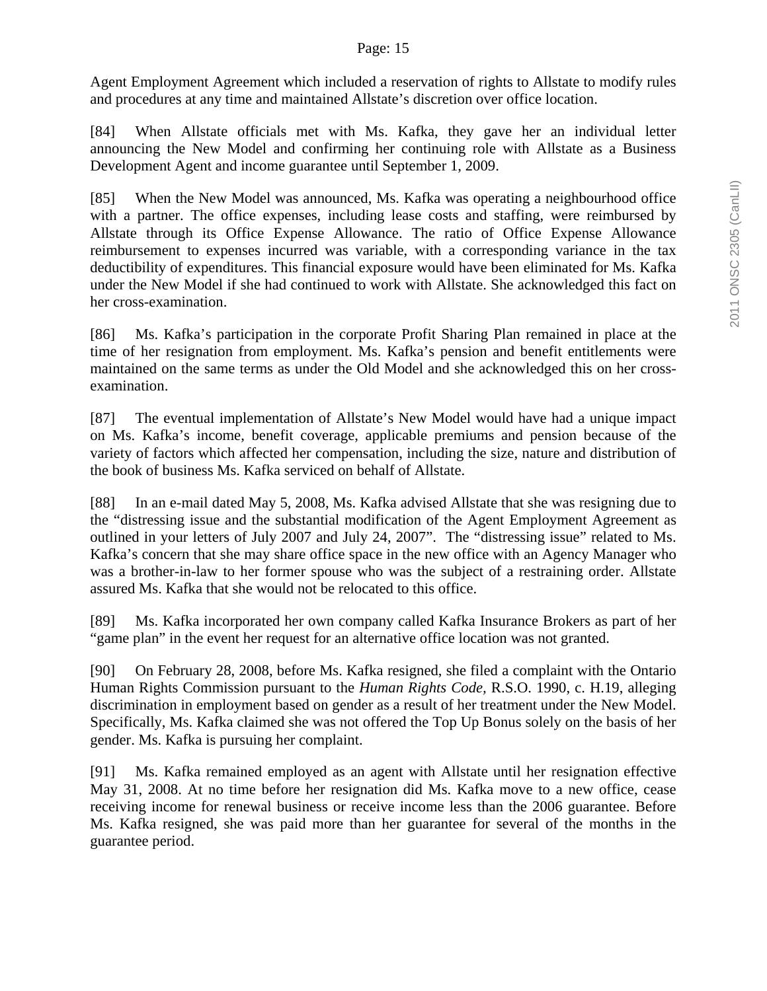#### Page: 15

Agent Employment Agreement which included a reservation of rights to Allstate to modify rules and procedures at any time and maintained Allstate's discretion over office location.

[84] When Allstate officials met with Ms. Kafka, they gave her an individual letter announcing the New Model and confirming her continuing role with Allstate as a Business Development Agent and income guarantee until September 1, 2009.

[85] When the New Model was announced, Ms. Kafka was operating a neighbourhood office with a partner. The office expenses, including lease costs and staffing, were reimbursed by Allstate through its Office Expense Allowance. The ratio of Office Expense Allowance reimbursement to expenses incurred was variable, with a corresponding variance in the tax deductibility of expenditures. This financial exposure would have been eliminated for Ms. Kafka under the New Model if she had continued to work with Allstate. She acknowledged this fact on her cross-examination.

[86] Ms. Kafka's participation in the corporate Profit Sharing Plan remained in place at the time of her resignation from employment. Ms. Kafka's pension and benefit entitlements were maintained on the same terms as under the Old Model and she acknowledged this on her crossexamination.

[87] The eventual implementation of Allstate's New Model would have had a unique impact on Ms. Kafka's income, benefit coverage, applicable premiums and pension because of the variety of factors which affected her compensation, including the size, nature and distribution of the book of business Ms. Kafka serviced on behalf of Allstate.

[88] In an e-mail dated May 5, 2008, Ms. Kafka advised Allstate that she was resigning due to the "distressing issue and the substantial modification of the Agent Employment Agreement as outlined in your letters of July 2007 and July 24, 2007". The "distressing issue" related to Ms. Kafka's concern that she may share office space in the new office with an Agency Manager who was a brother-in-law to her former spouse who was the subject of a restraining order. Allstate assured Ms. Kafka that she would not be relocated to this office.

[89] Ms. Kafka incorporated her own company called Kafka Insurance Brokers as part of her "game plan" in the event her request for an alternative office location was not granted.

[90] On February 28, 2008, before Ms. Kafka resigned, she filed a complaint with the Ontario Human Rights Commission pursuant to the *Human Rights Code,* R.S.O. 1990, c. H.19, alleging discrimination in employment based on gender as a result of her treatment under the New Model. Specifically, Ms. Kafka claimed she was not offered the Top Up Bonus solely on the basis of her gender. Ms. Kafka is pursuing her complaint.

[91] Ms. Kafka remained employed as an agent with Allstate until her resignation effective May 31, 2008. At no time before her resignation did Ms. Kafka move to a new office, cease receiving income for renewal business or receive income less than the 2006 guarantee. Before Ms. Kafka resigned, she was paid more than her guarantee for several of the months in the guarantee period.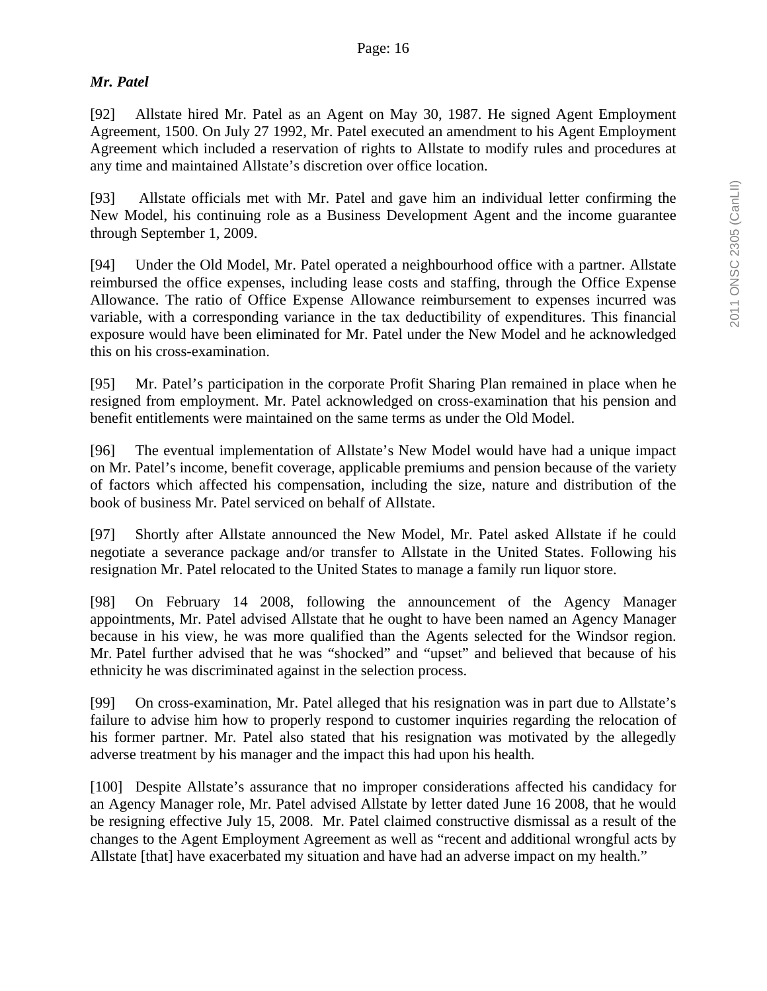### *Mr. Patel*

[92] Allstate hired Mr. Patel as an Agent on May 30, 1987. He signed Agent Employment Agreement, 1500. On July 27 1992, Mr. Patel executed an amendment to his Agent Employment Agreement which included a reservation of rights to Allstate to modify rules and procedures at any time and maintained Allstate's discretion over office location.

[93] Allstate officials met with Mr. Patel and gave him an individual letter confirming the New Model, his continuing role as a Business Development Agent and the income guarantee through September 1, 2009.

[94] Under the Old Model, Mr. Patel operated a neighbourhood office with a partner. Allstate reimbursed the office expenses, including lease costs and staffing, through the Office Expense Allowance. The ratio of Office Expense Allowance reimbursement to expenses incurred was variable, with a corresponding variance in the tax deductibility of expenditures. This financial exposure would have been eliminated for Mr. Patel under the New Model and he acknowledged this on his cross-examination.

[95] Mr. Patel's participation in the corporate Profit Sharing Plan remained in place when he resigned from employment. Mr. Patel acknowledged on cross-examination that his pension and benefit entitlements were maintained on the same terms as under the Old Model.

[96] The eventual implementation of Allstate's New Model would have had a unique impact on Mr. Patel's income, benefit coverage, applicable premiums and pension because of the variety of factors which affected his compensation, including the size, nature and distribution of the book of business Mr. Patel serviced on behalf of Allstate.

[97] Shortly after Allstate announced the New Model, Mr. Patel asked Allstate if he could negotiate a severance package and/or transfer to Allstate in the United States. Following his resignation Mr. Patel relocated to the United States to manage a family run liquor store.

[98] On February 14 2008, following the announcement of the Agency Manager appointments, Mr. Patel advised Allstate that he ought to have been named an Agency Manager because in his view, he was more qualified than the Agents selected for the Windsor region. Mr. Patel further advised that he was "shocked" and "upset" and believed that because of his ethnicity he was discriminated against in the selection process.

[99] On cross-examination, Mr. Patel alleged that his resignation was in part due to Allstate's failure to advise him how to properly respond to customer inquiries regarding the relocation of his former partner. Mr. Patel also stated that his resignation was motivated by the allegedly adverse treatment by his manager and the impact this had upon his health.

[100] Despite Allstate's assurance that no improper considerations affected his candidacy for an Agency Manager role, Mr. Patel advised Allstate by letter dated June 16 2008, that he would be resigning effective July 15, 2008. Mr. Patel claimed constructive dismissal as a result of the changes to the Agent Employment Agreement as well as "recent and additional wrongful acts by Allstate [that] have exacerbated my situation and have had an adverse impact on my health."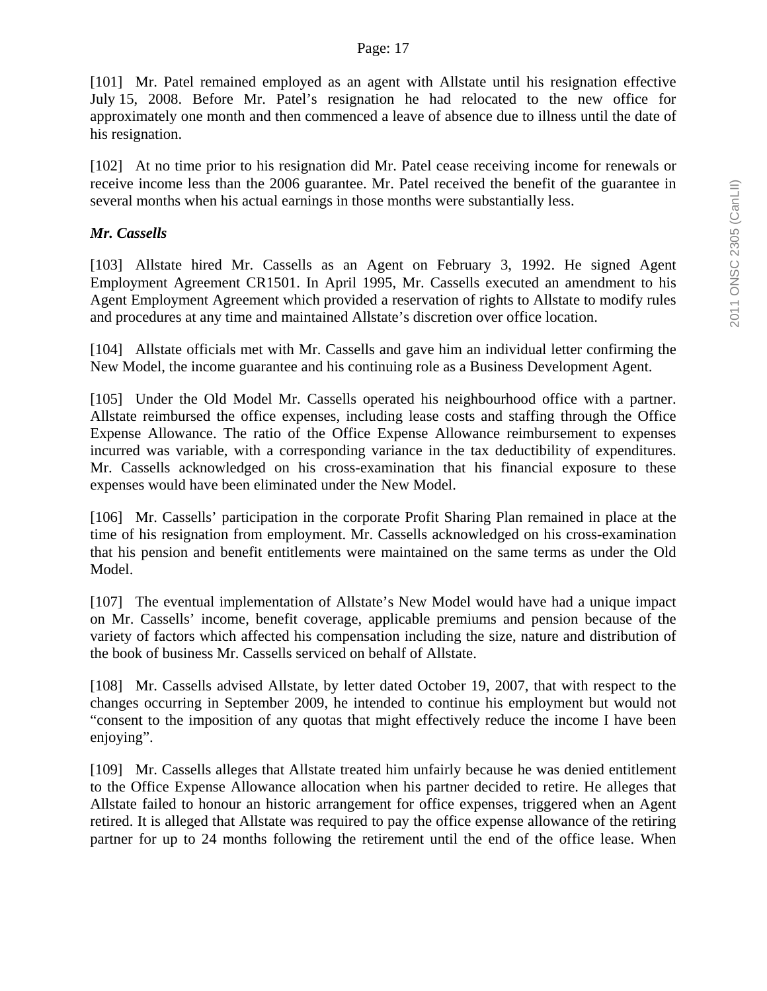#### Page: 17

[101] Mr. Patel remained employed as an agent with Allstate until his resignation effective July 15, 2008. Before Mr. Patel's resignation he had relocated to the new office for approximately one month and then commenced a leave of absence due to illness until the date of his resignation.

[102] At no time prior to his resignation did Mr. Patel cease receiving income for renewals or receive income less than the 2006 guarantee. Mr. Patel received the benefit of the guarantee in several months when his actual earnings in those months were substantially less.

## *Mr. Cassells*

[103] Allstate hired Mr. Cassells as an Agent on February 3, 1992. He signed Agent Employment Agreement CR1501. In April 1995, Mr. Cassells executed an amendment to his Agent Employment Agreement which provided a reservation of rights to Allstate to modify rules and procedures at any time and maintained Allstate's discretion over office location.

[104] Allstate officials met with Mr. Cassells and gave him an individual letter confirming the New Model, the income guarantee and his continuing role as a Business Development Agent.

[105] Under the Old Model Mr. Cassells operated his neighbourhood office with a partner. Allstate reimbursed the office expenses, including lease costs and staffing through the Office Expense Allowance. The ratio of the Office Expense Allowance reimbursement to expenses incurred was variable, with a corresponding variance in the tax deductibility of expenditures. Mr. Cassells acknowledged on his cross-examination that his financial exposure to these expenses would have been eliminated under the New Model.

[106] Mr. Cassells' participation in the corporate Profit Sharing Plan remained in place at the time of his resignation from employment. Mr. Cassells acknowledged on his cross-examination that his pension and benefit entitlements were maintained on the same terms as under the Old Model.

[107] The eventual implementation of Allstate's New Model would have had a unique impact on Mr. Cassells' income, benefit coverage, applicable premiums and pension because of the variety of factors which affected his compensation including the size, nature and distribution of the book of business Mr. Cassells serviced on behalf of Allstate.

[108] Mr. Cassells advised Allstate, by letter dated October 19, 2007, that with respect to the changes occurring in September 2009, he intended to continue his employment but would not "consent to the imposition of any quotas that might effectively reduce the income I have been enjoying".

[109] Mr. Cassells alleges that Allstate treated him unfairly because he was denied entitlement to the Office Expense Allowance allocation when his partner decided to retire. He alleges that Allstate failed to honour an historic arrangement for office expenses, triggered when an Agent retired. It is alleged that Allstate was required to pay the office expense allowance of the retiring partner for up to 24 months following the retirement until the end of the office lease. When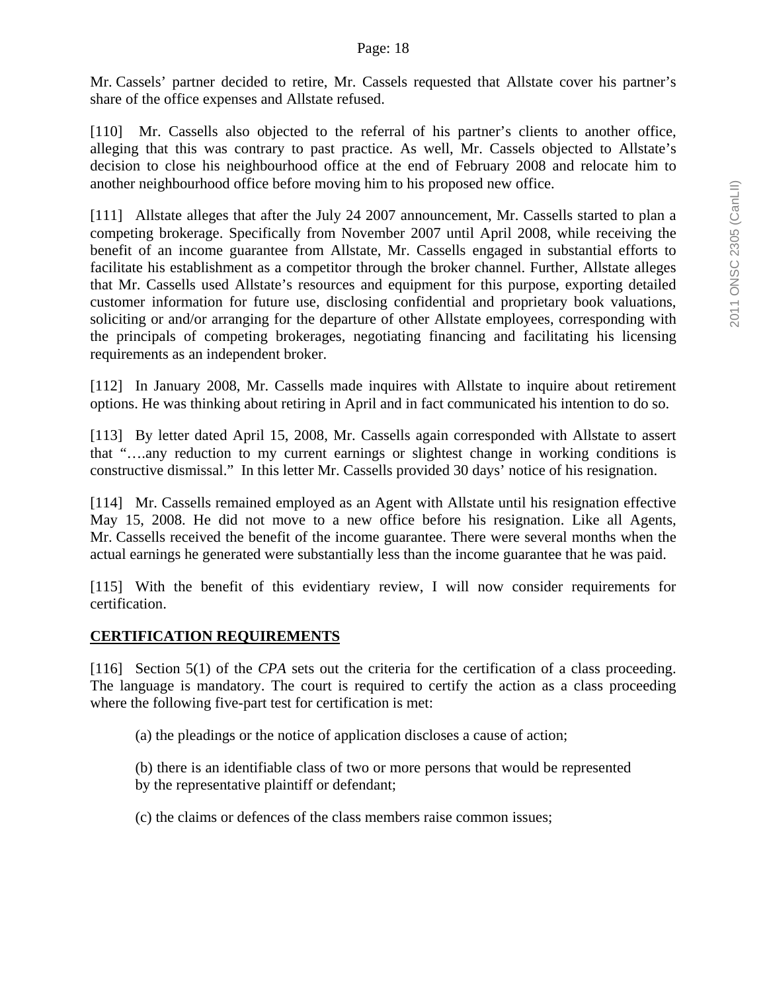Mr. Cassels' partner decided to retire, Mr. Cassels requested that Allstate cover his partner's share of the office expenses and Allstate refused.

[110] Mr. Cassells also objected to the referral of his partner's clients to another office, alleging that this was contrary to past practice. As well, Mr. Cassels objected to Allstate's decision to close his neighbourhood office at the end of February 2008 and relocate him to another neighbourhood office before moving him to his proposed new office.

[111] Allstate alleges that after the July 24 2007 announcement, Mr. Cassells started to plan a competing brokerage. Specifically from November 2007 until April 2008, while receiving the benefit of an income guarantee from Allstate, Mr. Cassells engaged in substantial efforts to facilitate his establishment as a competitor through the broker channel. Further, Allstate alleges that Mr. Cassells used Allstate's resources and equipment for this purpose, exporting detailed customer information for future use, disclosing confidential and proprietary book valuations, soliciting or and/or arranging for the departure of other Allstate employees, corresponding with the principals of competing brokerages, negotiating financing and facilitating his licensing requirements as an independent broker.

[112] In January 2008, Mr. Cassells made inquires with Allstate to inquire about retirement options. He was thinking about retiring in April and in fact communicated his intention to do so.

[113] By letter dated April 15, 2008, Mr. Cassells again corresponded with Allstate to assert that "….any reduction to my current earnings or slightest change in working conditions is constructive dismissal." In this letter Mr. Cassells provided 30 days' notice of his resignation.

[114] Mr. Cassells remained employed as an Agent with Allstate until his resignation effective May 15, 2008. He did not move to a new office before his resignation. Like all Agents, Mr. Cassells received the benefit of the income guarantee. There were several months when the actual earnings he generated were substantially less than the income guarantee that he was paid.

[115] With the benefit of this evidentiary review, I will now consider requirements for certification.

## **CERTIFICATION REQUIREMENTS**

[116] Section 5(1) of the *CPA* sets out the criteria for the certification of a class proceeding. The language is mandatory. The court is required to certify the action as a class proceeding where the following five-part test for certification is met:

(a) the pleadings or the notice of application discloses a cause of action;

(b) there is an identifiable class of two or more persons that would be represented by the representative plaintiff or defendant;

(c) the claims or defences of the class members raise common issues;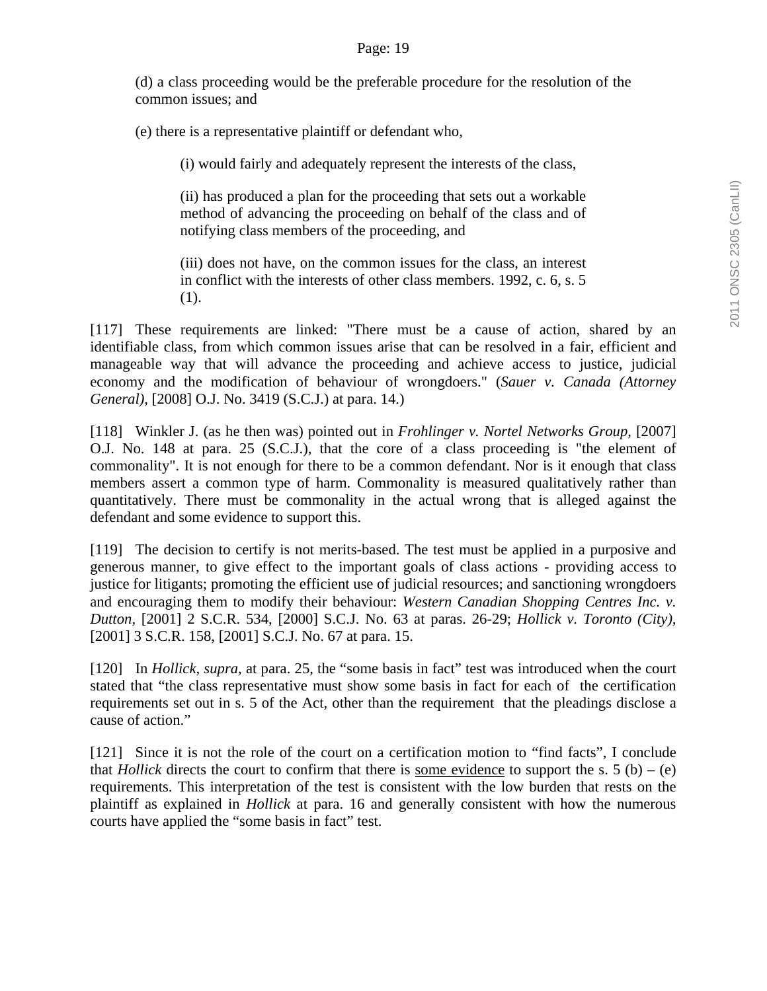(d) a class proceeding would be the preferable procedure for the resolution of the common issues; and

(e) there is a representative plaintiff or defendant who,

(i) would fairly and adequately represent the interests of the class,

(ii) has produced a plan for the proceeding that sets out a workable method of advancing the proceeding on behalf of the class and of notifying class members of the proceeding, and

(iii) does not have, on the common issues for the class, an interest in conflict with the interests of other class members. 1992, c. 6, s. 5 (1).

[117] These requirements are linked: "There must be a cause of action, shared by an identifiable class, from which common issues arise that can be resolved in a fair, efficient and manageable way that will advance the proceeding and achieve access to justice, judicial economy and the modification of behaviour of wrongdoers." (*Sauer v. Canada (Attorney General)*, [2008] O.J. No. 3419 (S.C.J.) at para. 14.)

[118] Winkler J. (as he then was) pointed out in *Frohlinger v. Nortel Networks Group,* [2007] O.J. No. 148 at para. 25 (S.C.J.), that the core of a class proceeding is "the element of commonality". It is not enough for there to be a common defendant. Nor is it enough that class members assert a common type of harm. Commonality is measured qualitatively rather than quantitatively. There must be commonality in the actual wrong that is alleged against the defendant and some evidence to support this.

[119] The decision to certify is not merits-based. The test must be applied in a purposive and generous manner, to give effect to the important goals of class actions - providing access to justice for litigants; promoting the efficient use of judicial resources; and sanctioning wrongdoers and encouraging them to modify their behaviour: *Western Canadian Shopping Centres Inc. v. Dutton,* [2001] 2 S.C.R. 534, [2000] S.C.J. No. 63 at paras. 26-29; *Hollick v. Toronto (City),* [2001] 3 S.C.R. 158, [2001] S.C.J. No. 67 at para. 15.

[120] In *Hollick, supra,* at para. 25, the "some basis in fact" test was introduced when the court stated that "the class representative must show some basis in fact for each of the certification requirements set out in s. 5 of the Act, other than the requirement that the pleadings disclose a cause of action."

[121] Since it is not the role of the court on a certification motion to "find facts", I conclude that *Hollick* directs the court to confirm that there is some evidence to support the s. 5 (b) – (e) requirements. This interpretation of the test is consistent with the low burden that rests on the plaintiff as explained in *Hollick* at para. 16 and generally consistent with how the numerous courts have applied the "some basis in fact" test.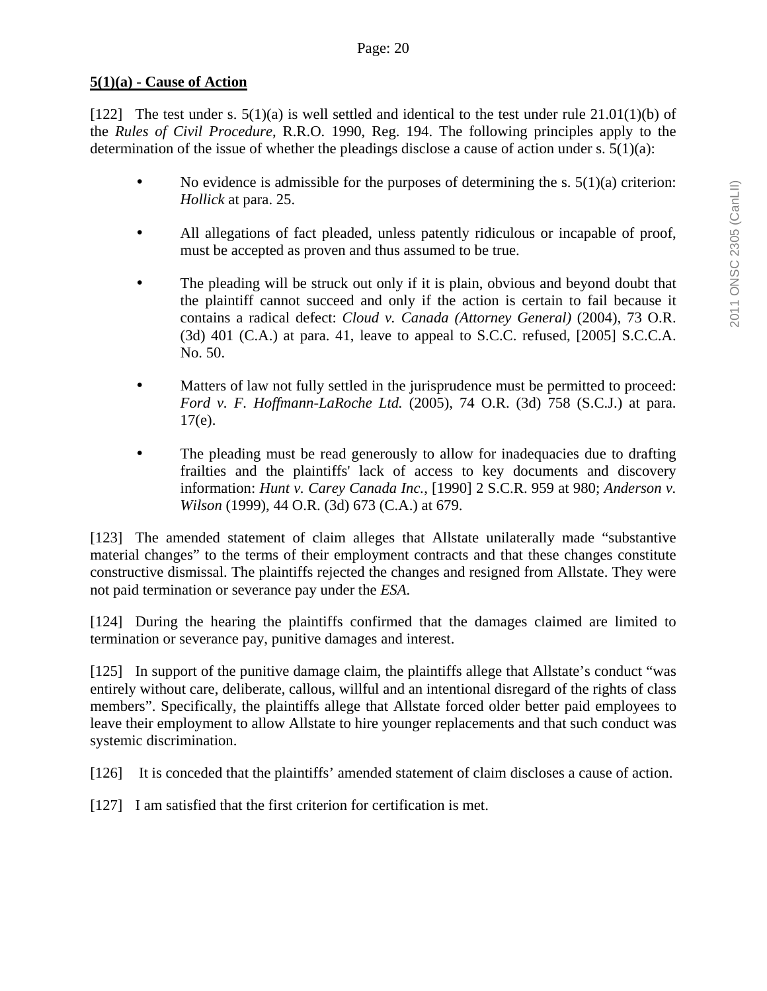## **5(1)(a) - Cause of Action**

[122] The test under s.  $5(1)(a)$  is well settled and identical to the test under rule  $21.01(1)(b)$  of the *Rules of Civil Procedure*, R.R.O. 1990, Reg. 194. The following principles apply to the determination of the issue of whether the pleadings disclose a cause of action under s.  $5(1)(a)$ :

- No evidence is admissible for the purposes of determining the s.  $5(1)(a)$  criterion: *Hollick* at para. 25.
- All allegations of fact pleaded, unless patently ridiculous or incapable of proof, must be accepted as proven and thus assumed to be true.
- The pleading will be struck out only if it is plain, obvious and beyond doubt that the plaintiff cannot succeed and only if the action is certain to fail because it contains a radical defect: *Cloud v. Canada (Attorney General)* (2004), 73 O.R.  $(3d)$  401  $(C.A.)$  at para. 41, leave to appeal to S.C.C. refused,  $[2005]$  S.C.C.A. No. 50.
- Matters of law not fully settled in the jurisprudence must be permitted to proceed: *Ford v. F. Hoffmann-LaRoche Ltd.* (2005), 74 O.R. (3d) 758 (S.C.J.) at para.  $17(e)$ .
- The pleading must be read generously to allow for inadequacies due to drafting frailties and the plaintiffs' lack of access to key documents and discovery information: *Hunt v. Carey Canada Inc.*, [1990] 2 S.C.R. 959 at 980; *Anderson v. Wilson* (1999), 44 O.R. (3d) 673 (C.A.) at 679.

[123] The amended statement of claim alleges that Allstate unilaterally made "substantive material changes" to the terms of their employment contracts and that these changes constitute constructive dismissal. The plaintiffs rejected the changes and resigned from Allstate. They were not paid termination or severance pay under the *ESA*.

[124] During the hearing the plaintiffs confirmed that the damages claimed are limited to termination or severance pay, punitive damages and interest.

[125] In support of the punitive damage claim, the plaintiffs allege that Allstate's conduct "was entirely without care, deliberate, callous, willful and an intentional disregard of the rights of class members". Specifically, the plaintiffs allege that Allstate forced older better paid employees to leave their employment to allow Allstate to hire younger replacements and that such conduct was systemic discrimination.

[126] It is conceded that the plaintiffs' amended statement of claim discloses a cause of action.

[127] I am satisfied that the first criterion for certification is met.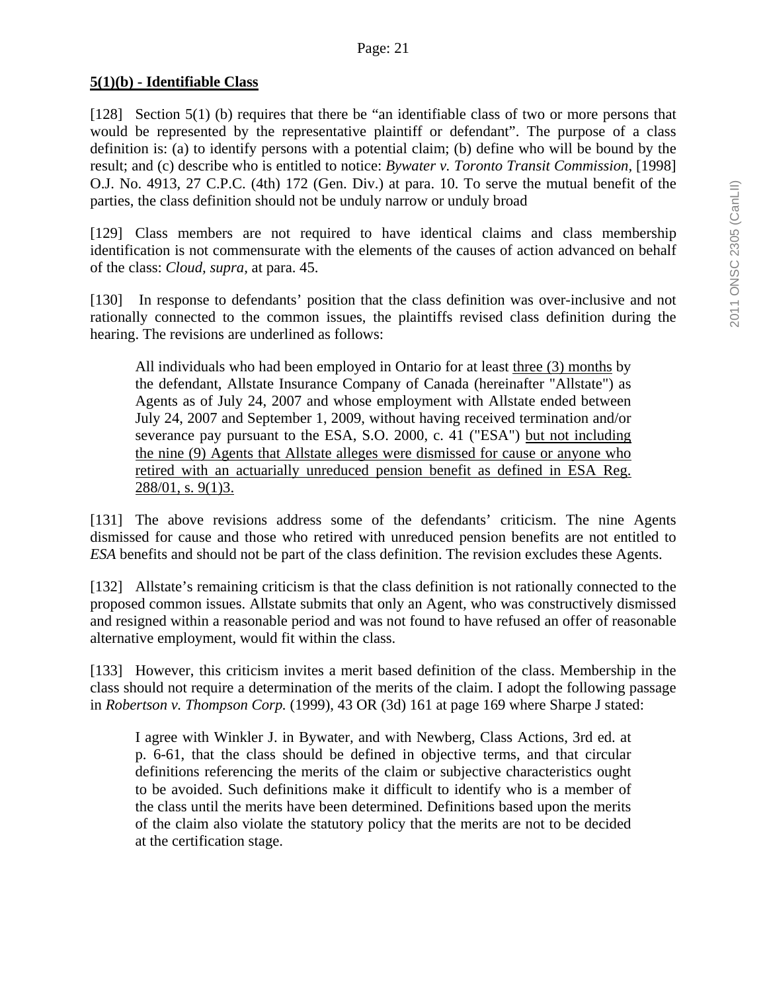### **5(1)(b) - Identifiable Class**

[128] Section 5(1) (b) requires that there be "an identifiable class of two or more persons that would be represented by the representative plaintiff or defendant". The purpose of a class definition is: (a) to identify persons with a potential claim; (b) define who will be bound by the result; and (c) describe who is entitled to notice: *Bywater v. Toronto Transit Commission,* [1998] O.J. No. 4913, 27 C.P.C. (4th) 172 (Gen. Div.) at para. 10. To serve the mutual benefit of the parties, the class definition should not be unduly narrow or unduly broad

[129] Class members are not required to have identical claims and class membership identification is not commensurate with the elements of the causes of action advanced on behalf of the class: *Cloud, supra,* at para. 45.

[130] In response to defendants' position that the class definition was over-inclusive and not rationally connected to the common issues, the plaintiffs revised class definition during the hearing. The revisions are underlined as follows:

All individuals who had been employed in Ontario for at least three (3) months by the defendant, Allstate Insurance Company of Canada (hereinafter "Allstate") as Agents as of July 24, 2007 and whose employment with Allstate ended between July 24, 2007 and September 1, 2009, without having received termination and/or severance pay pursuant to the ESA, S.O. 2000, c. 41 ("ESA") but not including the nine (9) Agents that Allstate alleges were dismissed for cause or anyone who retired with an actuarially unreduced pension benefit as defined in ESA Reg. 288/01, s. 9(1)3.

[131] The above revisions address some of the defendants' criticism. The nine Agents dismissed for cause and those who retired with unreduced pension benefits are not entitled to *ESA* benefits and should not be part of the class definition. The revision excludes these Agents.

[132] Allstate's remaining criticism is that the class definition is not rationally connected to the proposed common issues. Allstate submits that only an Agent, who was constructively dismissed and resigned within a reasonable period and was not found to have refused an offer of reasonable alternative employment, would fit within the class.

[133] However, this criticism invites a merit based definition of the class. Membership in the class should not require a determination of the merits of the claim. I adopt the following passage in *Robertson v. Thompson Corp.* (1999), 43 OR (3d) 161 at page 169 where Sharpe J stated:

I agree with Winkler J. in Bywater*,* and with Newberg, Class Actions, 3rd ed. at p. 6-61, that the class should be defined in objective terms, and that circular definitions referencing the merits of the claim or subjective characteristics ought to be avoided. Such definitions make it difficult to identify who is a member of the class until the merits have been determined. Definitions based upon the merits of the claim also violate the statutory policy that the merits are not to be decided at the certification stage.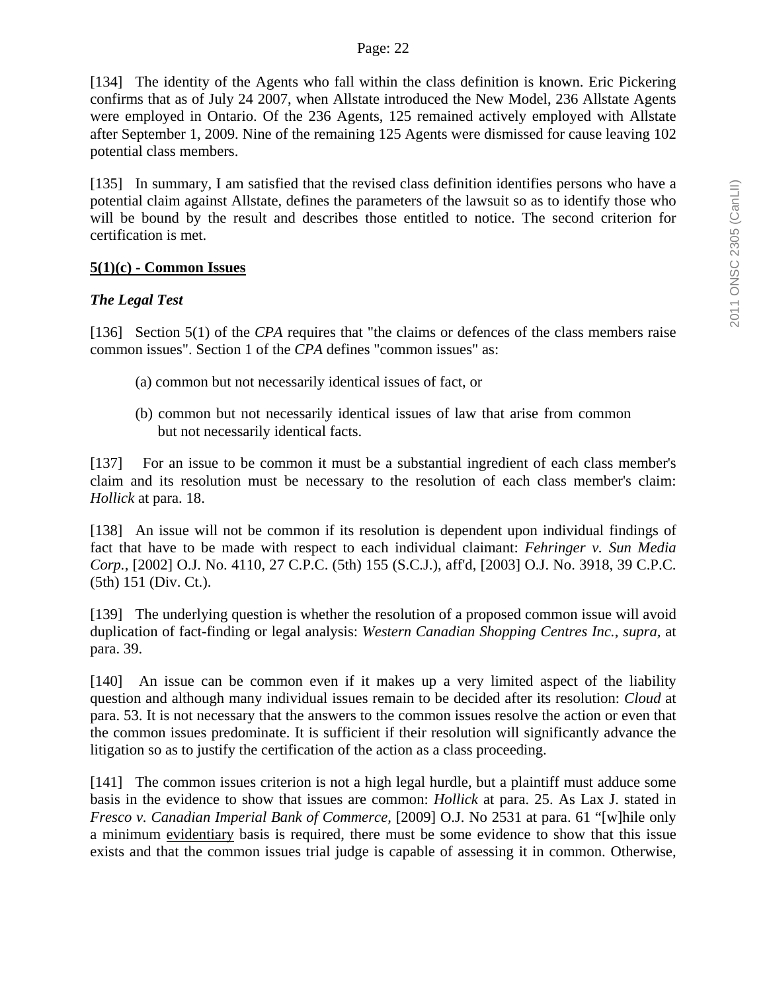[134] The identity of the Agents who fall within the class definition is known. Eric Pickering confirms that as of July 24 2007, when Allstate introduced the New Model, 236 Allstate Agents were employed in Ontario. Of the 236 Agents, 125 remained actively employed with Allstate after September 1, 2009. Nine of the remaining 125 Agents were dismissed for cause leaving 102 potential class members.

[135] In summary, I am satisfied that the revised class definition identifies persons who have a potential claim against Allstate, defines the parameters of the lawsuit so as to identify those who will be bound by the result and describes those entitled to notice. The second criterion for certification is met.

### **5(1)(c) - Common Issues**

## *The Legal Test*

[136] Section 5(1) of the *CPA* requires that "the claims or defences of the class members raise common issues". Section 1 of the *CPA* defines "common issues" as:

- (a) common but not necessarily identical issues of fact, or
- (b) common but not necessarily identical issues of law that arise from common but not necessarily identical facts.

[137] For an issue to be common it must be a substantial ingredient of each class member's claim and its resolution must be necessary to the resolution of each class member's claim: *Hollick* at para. 18.

[138] An issue will not be common if its resolution is dependent upon individual findings of fact that have to be made with respect to each individual claimant: *Fehringer v. Sun Media Corp.*, [2002] O.J. No. 4110, 27 C.P.C. (5th) 155 (S.C.J.), aff'd, [2003] O.J. No. 3918, 39 C.P.C. (5th) 151 (Div. Ct.).

[139] The underlying question is whether the resolution of a proposed common issue will avoid duplication of fact-finding or legal analysis: *Western Canadian Shopping Centres Inc.*, *supra,* at para. 39.

[140] An issue can be common even if it makes up a very limited aspect of the liability question and although many individual issues remain to be decided after its resolution: *Cloud* at para. 53. It is not necessary that the answers to the common issues resolve the action or even that the common issues predominate. It is sufficient if their resolution will significantly advance the litigation so as to justify the certification of the action as a class proceeding.

[141] The common issues criterion is not a high legal hurdle, but a plaintiff must adduce some basis in the evidence to show that issues are common: *Hollick* at para. 25. As Lax J. stated in *Fresco v. Canadian Imperial Bank of Commerce,* [2009] O.J. No 2531 at para. 61 "[w]hile only a minimum evidentiary basis is required, there must be some evidence to show that this issue exists and that the common issues trial judge is capable of assessing it in common. Otherwise,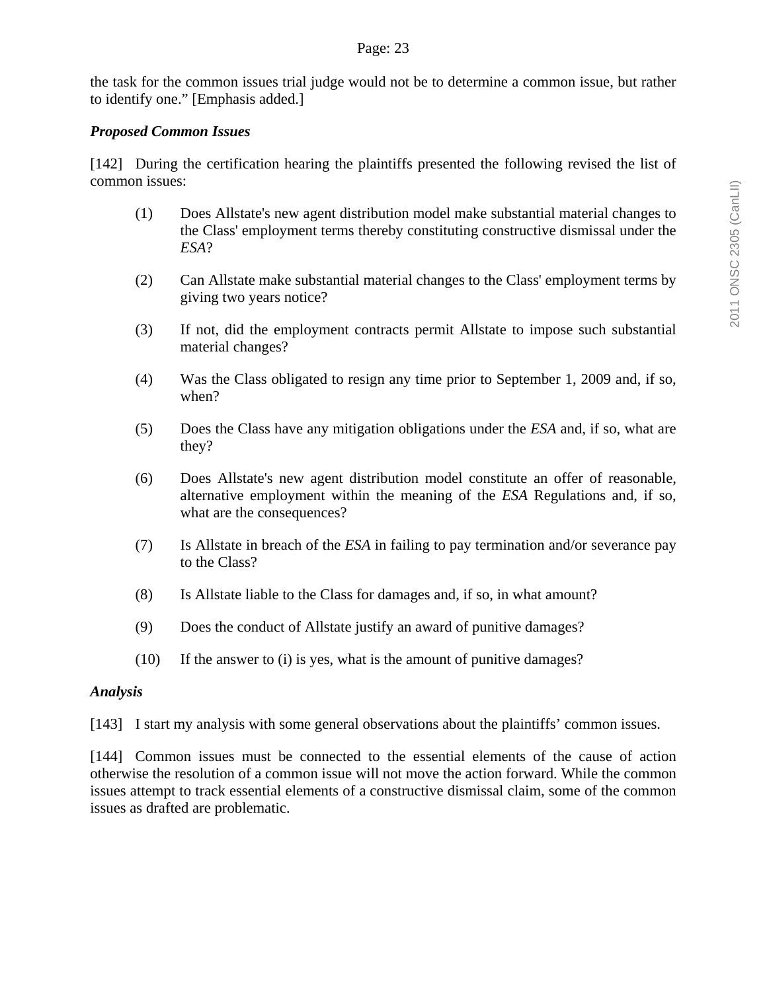the task for the common issues trial judge would not be to determine a common issue, but rather to identify one." [Emphasis added.]

### *Proposed Common Issues*

[142] During the certification hearing the plaintiffs presented the following revised the list of common issues:

- (1) Does Allstate's new agent distribution model make substantial material changes to the Class' employment terms thereby constituting constructive dismissal under the *ESA*?
- (2) Can Allstate make substantial material changes to the Class' employment terms by giving two years notice?
- (3) If not, did the employment contracts permit Allstate to impose such substantial material changes?
- (4) Was the Class obligated to resign any time prior to September 1, 2009 and, if so, when?
- (5) Does the Class have any mitigation obligations under the *ESA* and, if so, what are they?
- (6) Does Allstate's new agent distribution model constitute an offer of reasonable, alternative employment within the meaning of the *ESA* Regulations and, if so, what are the consequences?
- (7) Is Allstate in breach of the *ESA* in failing to pay termination and/or severance pay to the Class?
- (8) Is Allstate liable to the Class for damages and, if so, in what amount?
- (9) Does the conduct of Allstate justify an award of punitive damages?
- (10) If the answer to (i) is yes, what is the amount of punitive damages?

#### *Analysis*

[143] I start my analysis with some general observations about the plaintiffs' common issues.

[144] Common issues must be connected to the essential elements of the cause of action otherwise the resolution of a common issue will not move the action forward. While the common issues attempt to track essential elements of a constructive dismissal claim, some of the common issues as drafted are problematic.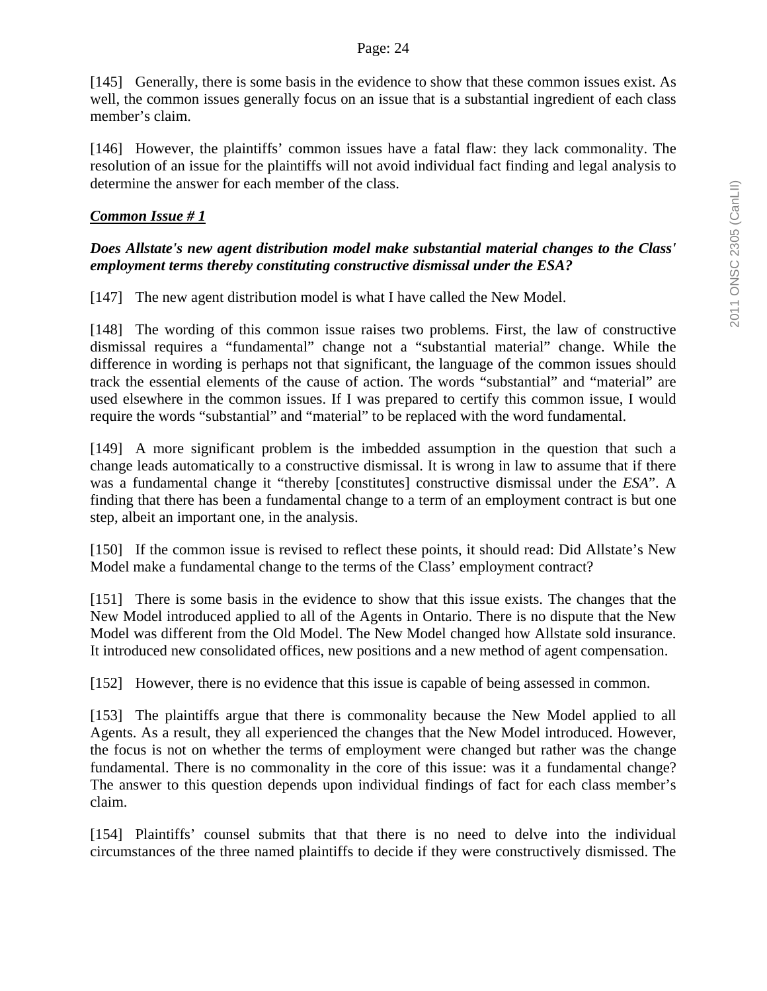[145] Generally, there is some basis in the evidence to show that these common issues exist. As well, the common issues generally focus on an issue that is a substantial ingredient of each class member's claim.

[146] However, the plaintiffs' common issues have a fatal flaw: they lack commonality. The resolution of an issue for the plaintiffs will not avoid individual fact finding and legal analysis to determine the answer for each member of the class.

## *Common Issue # 1*

## *Does Allstate's new agent distribution model make substantial material changes to the Class' employment terms thereby constituting constructive dismissal under the ESA?*

[147] The new agent distribution model is what I have called the New Model.

[148] The wording of this common issue raises two problems. First, the law of constructive dismissal requires a "fundamental" change not a "substantial material" change. While the difference in wording is perhaps not that significant, the language of the common issues should track the essential elements of the cause of action. The words "substantial" and "material" are used elsewhere in the common issues. If I was prepared to certify this common issue, I would require the words "substantial" and "material" to be replaced with the word fundamental.

[149] A more significant problem is the imbedded assumption in the question that such a change leads automatically to a constructive dismissal. It is wrong in law to assume that if there was a fundamental change it "thereby [constitutes] constructive dismissal under the *ESA*". A finding that there has been a fundamental change to a term of an employment contract is but one step, albeit an important one, in the analysis.

[150] If the common issue is revised to reflect these points, it should read: Did Allstate's New Model make a fundamental change to the terms of the Class' employment contract?

[151] There is some basis in the evidence to show that this issue exists. The changes that the New Model introduced applied to all of the Agents in Ontario. There is no dispute that the New Model was different from the Old Model. The New Model changed how Allstate sold insurance. It introduced new consolidated offices, new positions and a new method of agent compensation.

[152] However, there is no evidence that this issue is capable of being assessed in common.

[153] The plaintiffs argue that there is commonality because the New Model applied to all Agents. As a result, they all experienced the changes that the New Model introduced. However, the focus is not on whether the terms of employment were changed but rather was the change fundamental. There is no commonality in the core of this issue: was it a fundamental change? The answer to this question depends upon individual findings of fact for each class member's claim.

[154] Plaintiffs' counsel submits that that there is no need to delve into the individual circumstances of the three named plaintiffs to decide if they were constructively dismissed. The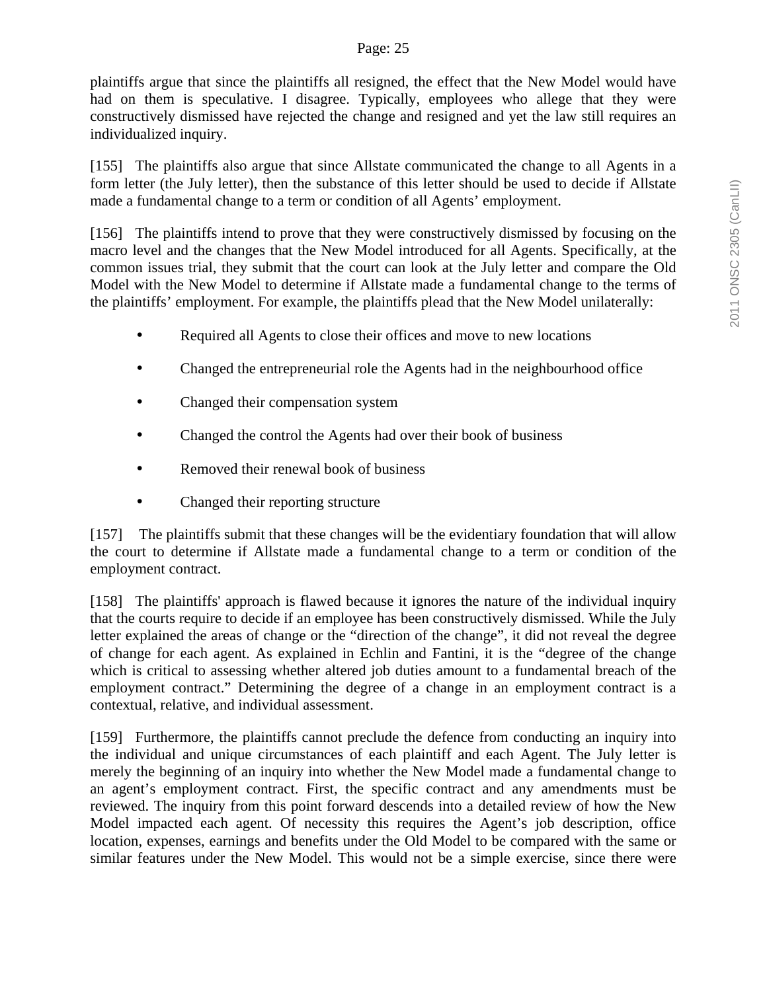#### Page: 25

plaintiffs argue that since the plaintiffs all resigned, the effect that the New Model would have had on them is speculative. I disagree. Typically, employees who allege that they were constructively dismissed have rejected the change and resigned and yet the law still requires an individualized inquiry.

[155] The plaintiffs also argue that since Allstate communicated the change to all Agents in a form letter (the July letter), then the substance of this letter should be used to decide if Allstate made a fundamental change to a term or condition of all Agents' employment.

[156] The plaintiffs intend to prove that they were constructively dismissed by focusing on the macro level and the changes that the New Model introduced for all Agents. Specifically, at the common issues trial, they submit that the court can look at the July letter and compare the Old Model with the New Model to determine if Allstate made a fundamental change to the terms of the plaintiffs' employment. For example, the plaintiffs plead that the New Model unilaterally:

- Required all Agents to close their offices and move to new locations
- Changed the entrepreneurial role the Agents had in the neighbourhood office
- Changed their compensation system
- Changed the control the Agents had over their book of business
- Removed their renewal book of business
- Changed their reporting structure

[157] The plaintiffs submit that these changes will be the evidentiary foundation that will allow the court to determine if Allstate made a fundamental change to a term or condition of the employment contract.

[158] The plaintiffs' approach is flawed because it ignores the nature of the individual inquiry that the courts require to decide if an employee has been constructively dismissed. While the July letter explained the areas of change or the "direction of the change", it did not reveal the degree of change for each agent. As explained in Echlin and Fantini, it is the "degree of the change which is critical to assessing whether altered job duties amount to a fundamental breach of the employment contract." Determining the degree of a change in an employment contract is a contextual, relative, and individual assessment.

[159] Furthermore, the plaintiffs cannot preclude the defence from conducting an inquiry into the individual and unique circumstances of each plaintiff and each Agent. The July letter is merely the beginning of an inquiry into whether the New Model made a fundamental change to an agent's employment contract. First, the specific contract and any amendments must be reviewed. The inquiry from this point forward descends into a detailed review of how the New Model impacted each agent. Of necessity this requires the Agent's job description, office location, expenses, earnings and benefits under the Old Model to be compared with the same or similar features under the New Model. This would not be a simple exercise, since there were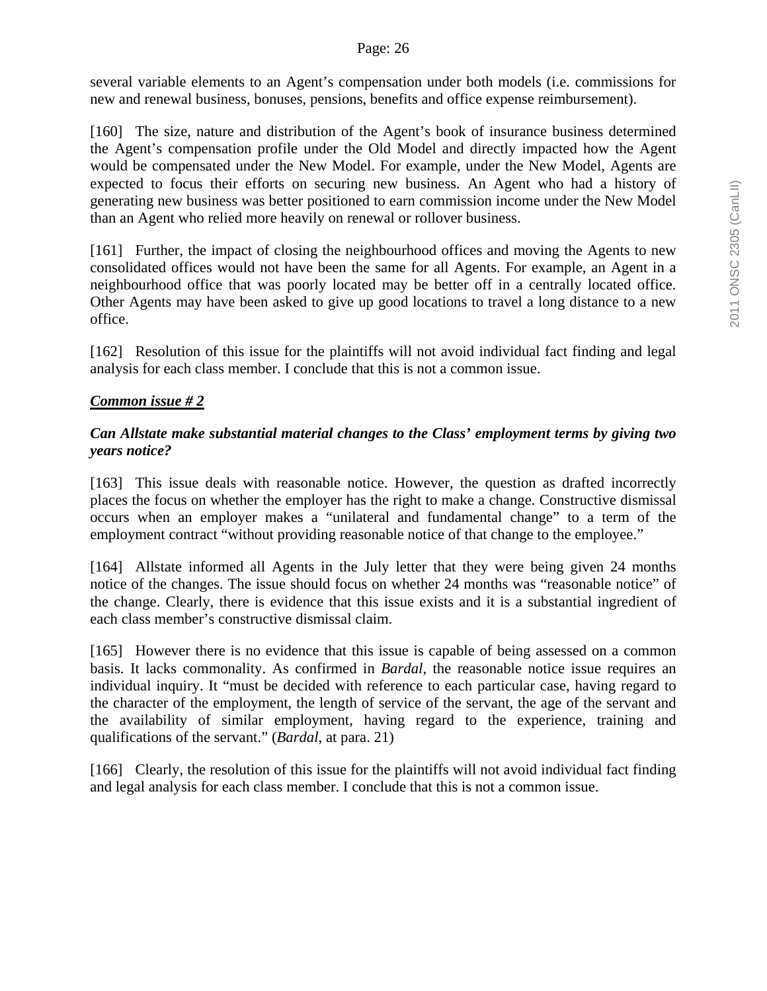several variable elements to an Agent's compensation under both models (i.e. commissions for new and renewal business, bonuses, pensions, benefits and office expense reimbursement).

[160] The size, nature and distribution of the Agent's book of insurance business determined the Agent's compensation profile under the Old Model and directly impacted how the Agent would be compensated under the New Model. For example, under the New Model, Agents are expected to focus their efforts on securing new business. An Agent who had a history of generating new business was better positioned to earn commission income under the New Model than an Agent who relied more heavily on renewal or rollover business.

[161] Further, the impact of closing the neighbourhood offices and moving the Agents to new consolidated offices would not have been the same for all Agents. For example, an Agent in a neighbourhood office that was poorly located may be better off in a centrally located office. Other Agents may have been asked to give up good locations to travel a long distance to a new office.

[162] Resolution of this issue for the plaintiffs will not avoid individual fact finding and legal analysis for each class member. I conclude that this is not a common issue.

## *Common issue # 2*

## *Can Allstate make substantial material changes to the Class' employment terms by giving two years notice?*

[163] This issue deals with reasonable notice. However, the question as drafted incorrectly places the focus on whether the employer has the right to make a change. Constructive dismissal occurs when an employer makes a "unilateral and fundamental change" to a term of the employment contract "without providing reasonable notice of that change to the employee."

[164] Allstate informed all Agents in the July letter that they were being given 24 months notice of the changes. The issue should focus on whether 24 months was "reasonable notice" of the change. Clearly, there is evidence that this issue exists and it is a substantial ingredient of each class member's constructive dismissal claim.

[165] However there is no evidence that this issue is capable of being assessed on a common basis. It lacks commonality. As confirmed in *Bardal*, the reasonable notice issue requires an individual inquiry. It "must be decided with reference to each particular case, having regard to the character of the employment, the length of service of the servant, the age of the servant and the availability of similar employment, having regard to the experience, training and qualifications of the servant." (*Bardal*, at para. 21)

[166] Clearly, the resolution of this issue for the plaintiffs will not avoid individual fact finding and legal analysis for each class member. I conclude that this is not a common issue.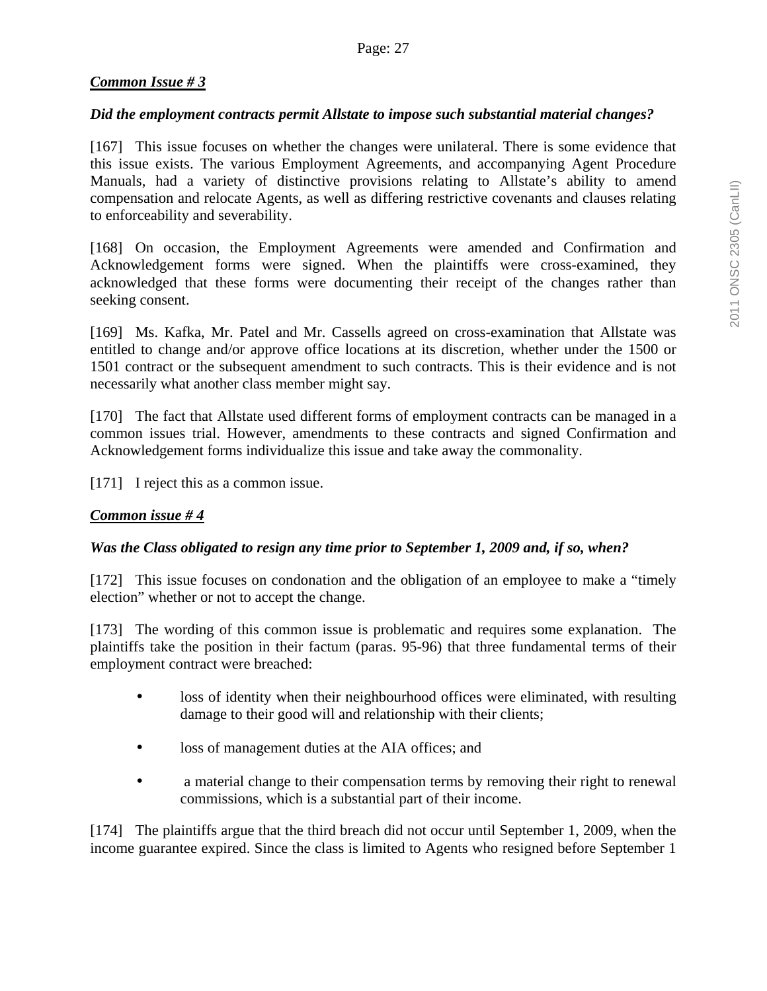# *Common Issue # 3*

## *Did the employment contracts permit Allstate to impose such substantial material changes?*

[167] This issue focuses on whether the changes were unilateral. There is some evidence that this issue exists. The various Employment Agreements, and accompanying Agent Procedure Manuals, had a variety of distinctive provisions relating to Allstate's ability to amend compensation and relocate Agents, as well as differing restrictive covenants and clauses relating to enforceability and severability.

[168] On occasion, the Employment Agreements were amended and Confirmation and Acknowledgement forms were signed. When the plaintiffs were cross-examined, they acknowledged that these forms were documenting their receipt of the changes rather than seeking consent.

[169] Ms. Kafka, Mr. Patel and Mr. Cassells agreed on cross-examination that Allstate was entitled to change and/or approve office locations at its discretion, whether under the 1500 or 1501 contract or the subsequent amendment to such contracts. This is their evidence and is not necessarily what another class member might say.

[170] The fact that Allstate used different forms of employment contracts can be managed in a common issues trial. However, amendments to these contracts and signed Confirmation and Acknowledgement forms individualize this issue and take away the commonality.

[171] I reject this as a common issue.

## *Common issue # 4*

## *Was the Class obligated to resign any time prior to September 1, 2009 and, if so, when?*

[172] This issue focuses on condonation and the obligation of an employee to make a "timely election" whether or not to accept the change.

[173] The wording of this common issue is problematic and requires some explanation. The plaintiffs take the position in their factum (paras. 95-96) that three fundamental terms of their employment contract were breached:

- loss of identity when their neighbourhood offices were eliminated, with resulting damage to their good will and relationship with their clients;
- loss of management duties at the AIA offices; and
- a material change to their compensation terms by removing their right to renewal commissions, which is a substantial part of their income.

[174] The plaintiffs argue that the third breach did not occur until September 1, 2009, when the income guarantee expired. Since the class is limited to Agents who resigned before September 1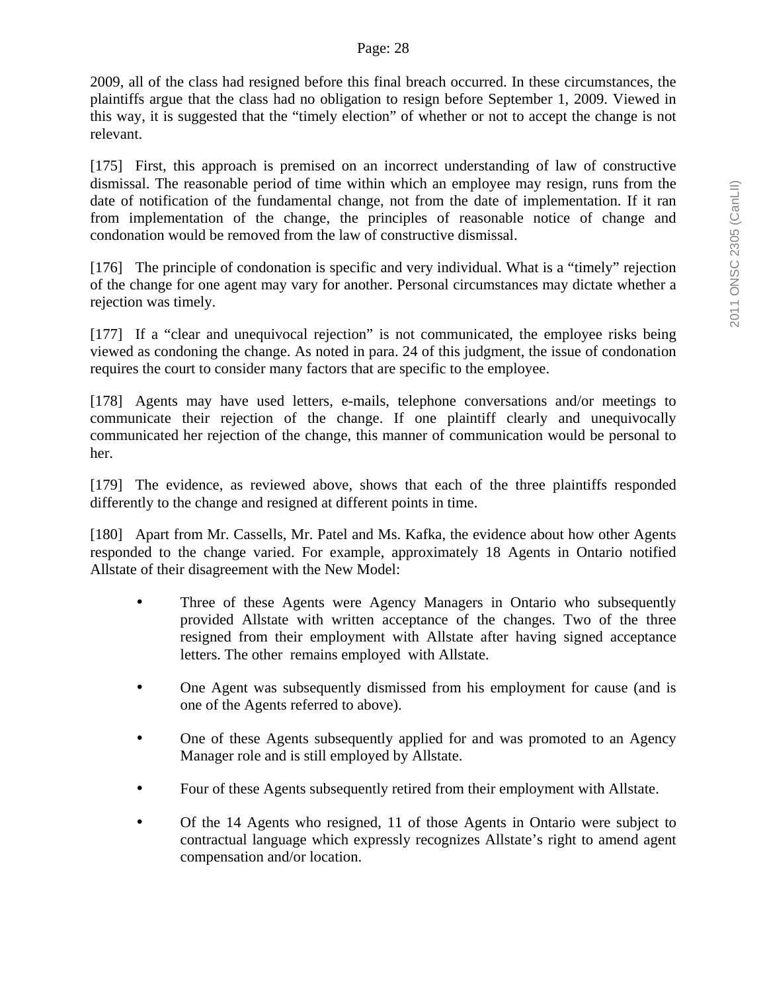2009, all of the class had resigned before this final breach occurred. In these circumstances, the plaintiffs argue that the class had no obligation to resign before September 1, 2009. Viewed in this way, it is suggested that the "timely election" of whether or not to accept the change is not relevant.

[175] First, this approach is premised on an incorrect understanding of law of constructive dismissal. The reasonable period of time within which an employee may resign, runs from the date of notification of the fundamental change, not from the date of implementation. If it ran from implementation of the change, the principles of reasonable notice of change and condonation would be removed from the law of constructive dismissal.

[176] The principle of condonation is specific and very individual. What is a "timely" rejection of the change for one agent may vary for another. Personal circumstances may dictate whether a rejection was timely.

[177] If a "clear and unequivocal rejection" is not communicated, the employee risks being viewed as condoning the change. As noted in para. 24 of this judgment, the issue of condonation requires the court to consider many factors that are specific to the employee.

[178] Agents may have used letters, e-mails, telephone conversations and/or meetings to communicate their rejection of the change. If one plaintiff clearly and unequivocally communicated her rejection of the change, this manner of communication would be personal to her.

[179] The evidence, as reviewed above, shows that each of the three plaintiffs responded differently to the change and resigned at different points in time.

[180] Apart from Mr. Cassells, Mr. Patel and Ms. Kafka, the evidence about how other Agents responded to the change varied. For example, approximately 18 Agents in Ontario notified Allstate of their disagreement with the New Model:

- Three of these Agents were Agency Managers in Ontario who subsequently provided Allstate with written acceptance of the changes. Two of the three resigned from their employment with Allstate after having signed acceptance letters. The other remains employed with Allstate.
- One Agent was subsequently dismissed from his employment for cause (and is one of the Agents referred to above).
- One of these Agents subsequently applied for and was promoted to an Agency Manager role and is still employed by Allstate.
- Four of these Agents subsequently retired from their employment with Allstate.
- Of the 14 Agents who resigned, 11 of those Agents in Ontario were subject to contractual language which expressly recognizes Allstate's right to amend agent compensation and/or location.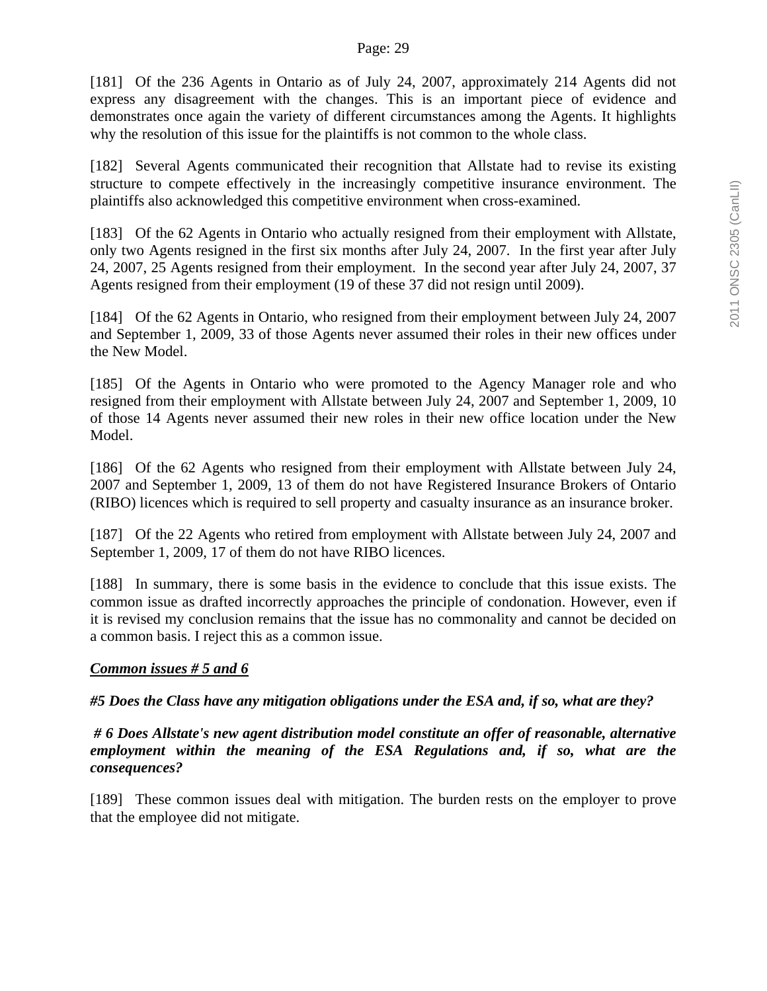[181] Of the 236 Agents in Ontario as of July 24, 2007, approximately 214 Agents did not express any disagreement with the changes. This is an important piece of evidence and demonstrates once again the variety of different circumstances among the Agents. It highlights why the resolution of this issue for the plaintiffs is not common to the whole class.

[182] Several Agents communicated their recognition that Allstate had to revise its existing structure to compete effectively in the increasingly competitive insurance environment. The plaintiffs also acknowledged this competitive environment when cross-examined.

[183] Of the 62 Agents in Ontario who actually resigned from their employment with Allstate, only two Agents resigned in the first six months after July 24, 2007. In the first year after July 24, 2007, 25 Agents resigned from their employment. In the second year after July 24, 2007, 37 Agents resigned from their employment (19 of these 37 did not resign until 2009).

[184] Of the 62 Agents in Ontario, who resigned from their employment between July 24, 2007 and September 1, 2009, 33 of those Agents never assumed their roles in their new offices under the New Model.

[185] Of the Agents in Ontario who were promoted to the Agency Manager role and who resigned from their employment with Allstate between July 24, 2007 and September 1, 2009, 10 of those 14 Agents never assumed their new roles in their new office location under the New Model.

[186] Of the 62 Agents who resigned from their employment with Allstate between July 24, 2007 and September 1, 2009, 13 of them do not have Registered Insurance Brokers of Ontario (RIBO) licences which is required to sell property and casualty insurance as an insurance broker.

[187] Of the 22 Agents who retired from employment with Allstate between July 24, 2007 and September 1, 2009, 17 of them do not have RIBO licences.

[188] In summary, there is some basis in the evidence to conclude that this issue exists. The common issue as drafted incorrectly approaches the principle of condonation. However, even if it is revised my conclusion remains that the issue has no commonality and cannot be decided on a common basis. I reject this as a common issue.

## *Common issues # 5 and 6*

*#5 Does the Class have any mitigation obligations under the ESA and, if so, what are they?* 

 *# 6 Does Allstate's new agent distribution model constitute an offer of reasonable, alternative employment within the meaning of the ESA Regulations and, if so, what are the consequences?* 

[189] These common issues deal with mitigation. The burden rests on the employer to prove that the employee did not mitigate.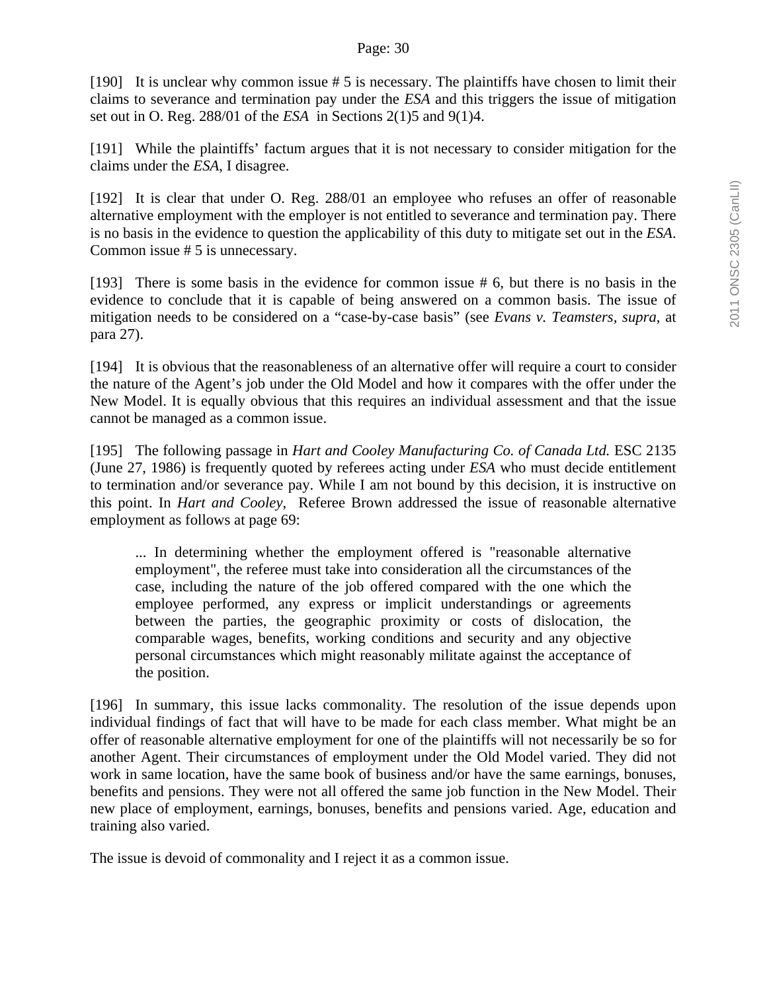[190] It is unclear why common issue # 5 is necessary. The plaintiffs have chosen to limit their claims to severance and termination pay under the *ESA* and this triggers the issue of mitigation set out in O. Reg. 288/01 of the *ESA* in Sections 2(1)5 and 9(1)4.

[191] While the plaintiffs' factum argues that it is not necessary to consider mitigation for the claims under the *ESA*, I disagree.

[192] It is clear that under O. Reg. 288/01 an employee who refuses an offer of reasonable alternative employment with the employer is not entitled to severance and termination pay. There is no basis in the evidence to question the applicability of this duty to mitigate set out in the *ESA*. Common issue # 5 is unnecessary.

[193] There is some basis in the evidence for common issue # 6, but there is no basis in the evidence to conclude that it is capable of being answered on a common basis. The issue of mitigation needs to be considered on a "case-by-case basis" (see *Evans v. Teamsters, supra,* at para 27).

[194] It is obvious that the reasonableness of an alternative offer will require a court to consider the nature of the Agent's job under the Old Model and how it compares with the offer under the New Model. It is equally obvious that this requires an individual assessment and that the issue cannot be managed as a common issue.

[195] The following passage in *Hart and Cooley Manufacturing Co. of Canada Ltd.* ESC 2135 (June 27, 1986) is frequently quoted by referees acting under *ESA* who must decide entitlement to termination and/or severance pay. While I am not bound by this decision, it is instructive on this point. In *Hart and Cooley*, Referee Brown addressed the issue of reasonable alternative employment as follows at page 69:

... In determining whether the employment offered is "reasonable alternative employment", the referee must take into consideration all the circumstances of the case, including the nature of the job offered compared with the one which the employee performed, any express or implicit understandings or agreements between the parties, the geographic proximity or costs of dislocation, the comparable wages, benefits, working conditions and security and any objective personal circumstances which might reasonably militate against the acceptance of the position.

[196] In summary, this issue lacks commonality. The resolution of the issue depends upon individual findings of fact that will have to be made for each class member. What might be an offer of reasonable alternative employment for one of the plaintiffs will not necessarily be so for another Agent. Their circumstances of employment under the Old Model varied. They did not work in same location, have the same book of business and/or have the same earnings, bonuses, benefits and pensions. They were not all offered the same job function in the New Model. Their new place of employment, earnings, bonuses, benefits and pensions varied. Age, education and training also varied.

The issue is devoid of commonality and I reject it as a common issue.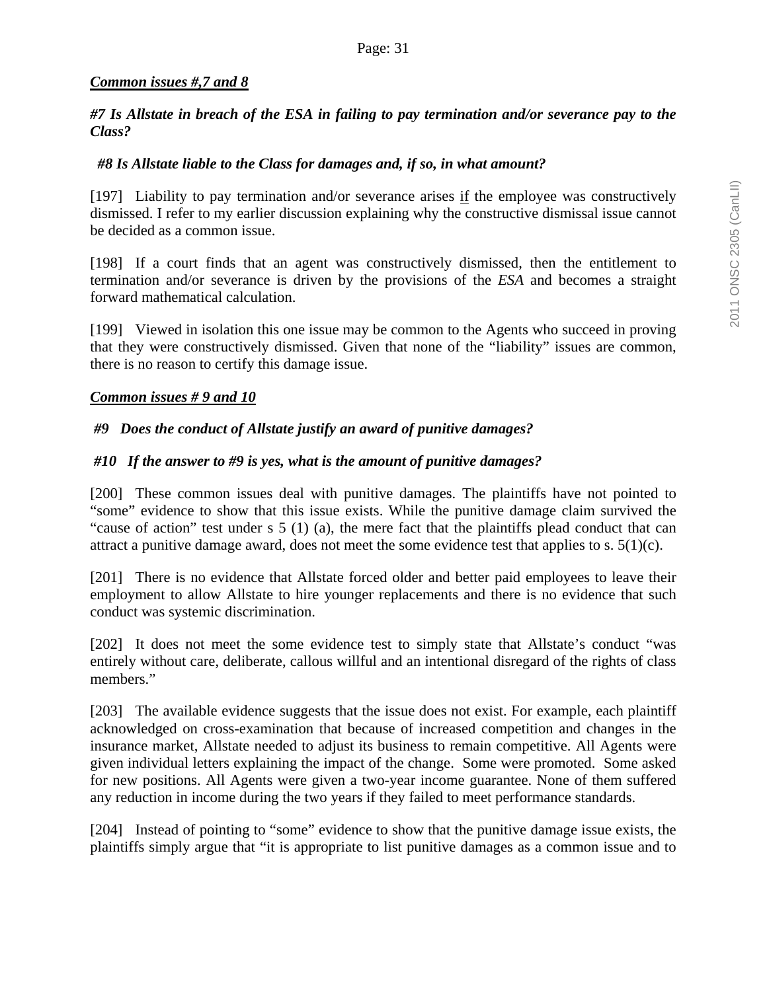## *Common issues #,7 and 8*

### *#7 Is Allstate in breach of the ESA in failing to pay termination and/or severance pay to the Class?*

## *#8 Is Allstate liable to the Class for damages and, if so, in what amount?*

[197] Liability to pay termination and/or severance arises if the employee was constructively dismissed. I refer to my earlier discussion explaining why the constructive dismissal issue cannot be decided as a common issue.

[198] If a court finds that an agent was constructively dismissed, then the entitlement to termination and/or severance is driven by the provisions of the *ESA* and becomes a straight forward mathematical calculation.

[199] Viewed in isolation this one issue may be common to the Agents who succeed in proving that they were constructively dismissed. Given that none of the "liability" issues are common, there is no reason to certify this damage issue.

### *Common issues # 9 and 10*

## *#9 Does the conduct of Allstate justify an award of punitive damages?*

### *#10 If the answer to #9 is yes, what is the amount of punitive damages?*

[200] These common issues deal with punitive damages. The plaintiffs have not pointed to "some" evidence to show that this issue exists. While the punitive damage claim survived the "cause of action" test under s 5 (1) (a), the mere fact that the plaintiffs plead conduct that can attract a punitive damage award, does not meet the some evidence test that applies to s.  $5(1)(c)$ .

[201] There is no evidence that Allstate forced older and better paid employees to leave their employment to allow Allstate to hire younger replacements and there is no evidence that such conduct was systemic discrimination.

[202] It does not meet the some evidence test to simply state that Allstate's conduct "was entirely without care, deliberate, callous willful and an intentional disregard of the rights of class members."

[203] The available evidence suggests that the issue does not exist. For example, each plaintiff acknowledged on cross-examination that because of increased competition and changes in the insurance market, Allstate needed to adjust its business to remain competitive. All Agents were given individual letters explaining the impact of the change. Some were promoted. Some asked for new positions. All Agents were given a two-year income guarantee. None of them suffered any reduction in income during the two years if they failed to meet performance standards.

[204] Instead of pointing to "some" evidence to show that the punitive damage issue exists, the plaintiffs simply argue that "it is appropriate to list punitive damages as a common issue and to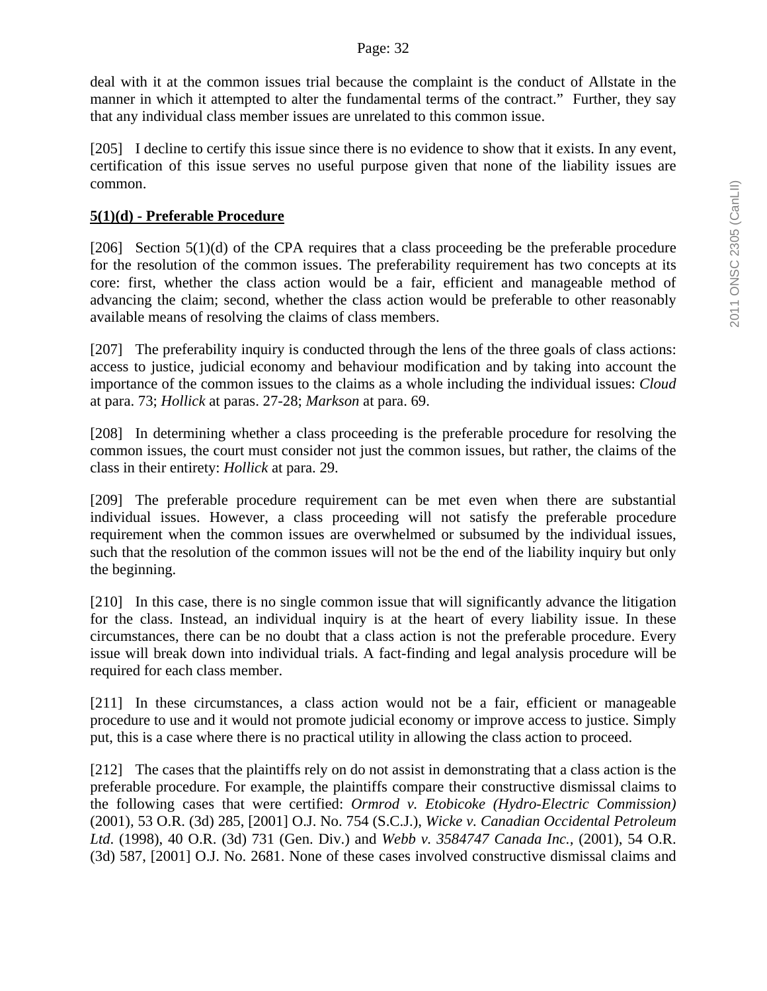deal with it at the common issues trial because the complaint is the conduct of Allstate in the manner in which it attempted to alter the fundamental terms of the contract." Further, they say that any individual class member issues are unrelated to this common issue.

[205] I decline to certify this issue since there is no evidence to show that it exists. In any event, certification of this issue serves no useful purpose given that none of the liability issues are common.

### **5(1)(d) - Preferable Procedure**

[206] Section  $5(1)(d)$  of the CPA requires that a class proceeding be the preferable procedure for the resolution of the common issues. The preferability requirement has two concepts at its core: first, whether the class action would be a fair, efficient and manageable method of advancing the claim; second, whether the class action would be preferable to other reasonably available means of resolving the claims of class members.

[207] The preferability inquiry is conducted through the lens of the three goals of class actions: access to justice, judicial economy and behaviour modification and by taking into account the importance of the common issues to the claims as a whole including the individual issues: *Cloud* at para. 73; *Hollick* at paras. 27-28; *Markson* at para. 69.

[208] In determining whether a class proceeding is the preferable procedure for resolving the common issues, the court must consider not just the common issues, but rather, the claims of the class in their entirety: *Hollick* at para. 29.

[209] The preferable procedure requirement can be met even when there are substantial individual issues. However, a class proceeding will not satisfy the preferable procedure requirement when the common issues are overwhelmed or subsumed by the individual issues, such that the resolution of the common issues will not be the end of the liability inquiry but only the beginning.

[210] In this case, there is no single common issue that will significantly advance the litigation for the class. Instead, an individual inquiry is at the heart of every liability issue. In these circumstances, there can be no doubt that a class action is not the preferable procedure. Every issue will break down into individual trials. A fact-finding and legal analysis procedure will be required for each class member.

[211] In these circumstances, a class action would not be a fair, efficient or manageable procedure to use and it would not promote judicial economy or improve access to justice. Simply put, this is a case where there is no practical utility in allowing the class action to proceed.

[212] The cases that the plaintiffs rely on do not assist in demonstrating that a class action is the preferable procedure. For example, the plaintiffs compare their constructive dismissal claims to the following cases that were certified: *Ormrod v. Etobicoke (Hydro-Electric Commission)* (2001)*,* 53 O.R. (3d) 285, [2001] O.J. No. 754 (S.C.J.), *Wicke v. Canadian Occidental Petroleum Ltd*. (1998), 40 O.R. (3d) 731 (Gen. Div.) and *Webb v. 3584747 Canada Inc.,* (2001), 54 O.R. (3d) 587, [2001] O.J. No. 2681. None of these cases involved constructive dismissal claims and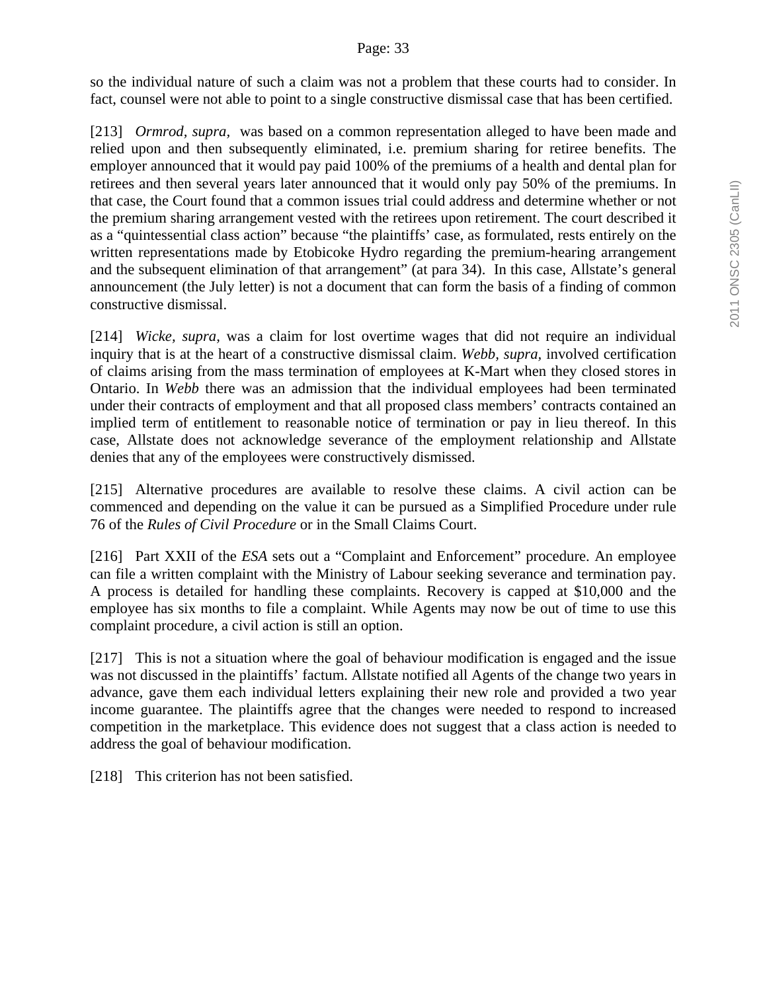so the individual nature of such a claim was not a problem that these courts had to consider. In fact, counsel were not able to point to a single constructive dismissal case that has been certified.

[213] *Ormrod, supra,* was based on a common representation alleged to have been made and relied upon and then subsequently eliminated, i.e. premium sharing for retiree benefits. The employer announced that it would pay paid 100% of the premiums of a health and dental plan for retirees and then several years later announced that it would only pay 50% of the premiums. In that case, the Court found that a common issues trial could address and determine whether or not the premium sharing arrangement vested with the retirees upon retirement. The court described it as a "quintessential class action" because "the plaintiffs' case, as formulated, rests entirely on the written representations made by Etobicoke Hydro regarding the premium-hearing arrangement and the subsequent elimination of that arrangement" (at para 34). In this case, Allstate's general announcement (the July letter) is not a document that can form the basis of a finding of common constructive dismissal.

[214] *Wicke, supra,* was a claim for lost overtime wages that did not require an individual inquiry that is at the heart of a constructive dismissal claim. *Webb, supra,* involved certification of claims arising from the mass termination of employees at K-Mart when they closed stores in Ontario. In *Webb* there was an admission that the individual employees had been terminated under their contracts of employment and that all proposed class members' contracts contained an implied term of entitlement to reasonable notice of termination or pay in lieu thereof. In this case, Allstate does not acknowledge severance of the employment relationship and Allstate denies that any of the employees were constructively dismissed.

[215] Alternative procedures are available to resolve these claims. A civil action can be commenced and depending on the value it can be pursued as a Simplified Procedure under rule 76 of the *Rules of Civil Procedure* or in the Small Claims Court.

[216] Part XXII of the *ESA* sets out a "Complaint and Enforcement" procedure. An employee can file a written complaint with the Ministry of Labour seeking severance and termination pay. A process is detailed for handling these complaints. Recovery is capped at \$10,000 and the employee has six months to file a complaint. While Agents may now be out of time to use this complaint procedure, a civil action is still an option.

[217] This is not a situation where the goal of behaviour modification is engaged and the issue was not discussed in the plaintiffs' factum. Allstate notified all Agents of the change two years in advance, gave them each individual letters explaining their new role and provided a two year income guarantee. The plaintiffs agree that the changes were needed to respond to increased competition in the marketplace. This evidence does not suggest that a class action is needed to address the goal of behaviour modification.

[218] This criterion has not been satisfied.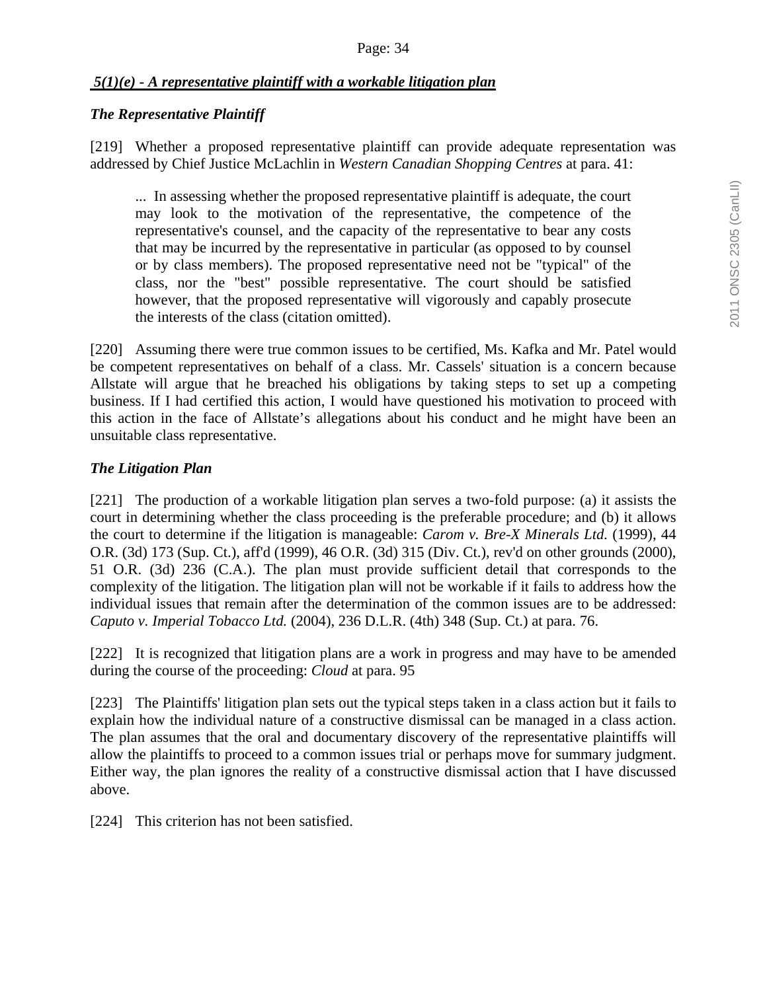#### Page: 34

### *5(1)(e) - A representative plaintiff with a workable litigation plan*

#### *The Representative Plaintiff*

[219] Whether a proposed representative plaintiff can provide adequate representation was addressed by Chief Justice McLachlin in *Western Canadian Shopping Centres* at para. 41:

... In assessing whether the proposed representative plaintiff is adequate, the court may look to the motivation of the representative, the competence of the representative's counsel, and the capacity of the representative to bear any costs that may be incurred by the representative in particular (as opposed to by counsel or by class members). The proposed representative need not be "typical" of the class, nor the "best" possible representative. The court should be satisfied however, that the proposed representative will vigorously and capably prosecute the interests of the class (citation omitted).

[220] Assuming there were true common issues to be certified, Ms. Kafka and Mr. Patel would be competent representatives on behalf of a class. Mr. Cassels' situation is a concern because Allstate will argue that he breached his obligations by taking steps to set up a competing business. If I had certified this action, I would have questioned his motivation to proceed with this action in the face of Allstate's allegations about his conduct and he might have been an unsuitable class representative.

### *The Litigation Plan*

[221] The production of a workable litigation plan serves a two-fold purpose: (a) it assists the court in determining whether the class proceeding is the preferable procedure; and (b) it allows the court to determine if the litigation is manageable: *Carom v. Bre-X Minerals Ltd.* (1999), 44 O.R. (3d) 173 (Sup. Ct.), aff'd (1999), 46 O.R. (3d) 315 (Div. Ct.), rev'd on other grounds (2000), 51 O.R. (3d) 236 (C.A.). The plan must provide sufficient detail that corresponds to the complexity of the litigation. The litigation plan will not be workable if it fails to address how the individual issues that remain after the determination of the common issues are to be addressed: *Caputo v. Imperial Tobacco Ltd.* (2004), 236 D.L.R. (4th) 348 (Sup. Ct.) at para. 76.

[222] It is recognized that litigation plans are a work in progress and may have to be amended during the course of the proceeding: *Cloud* at para. 95

[223] The Plaintiffs' litigation plan sets out the typical steps taken in a class action but it fails to explain how the individual nature of a constructive dismissal can be managed in a class action. The plan assumes that the oral and documentary discovery of the representative plaintiffs will allow the plaintiffs to proceed to a common issues trial or perhaps move for summary judgment. Either way, the plan ignores the reality of a constructive dismissal action that I have discussed above.

[224] This criterion has not been satisfied.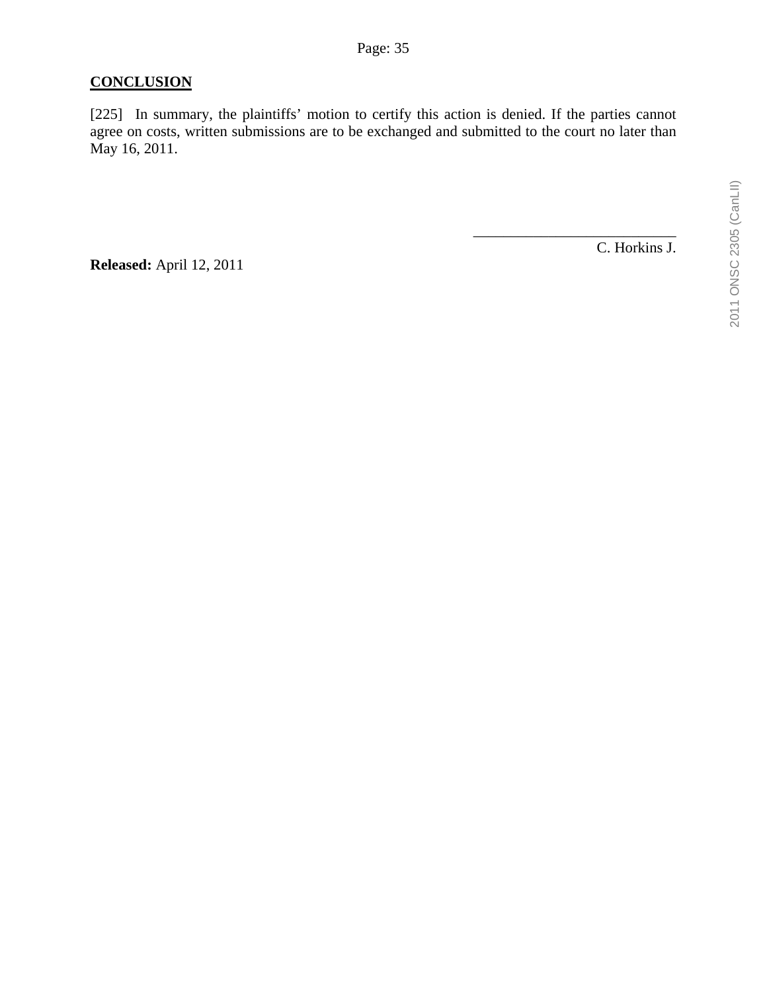## **CONCLUSION**

[225] In summary, the plaintiffs' motion to certify this action is denied. If the parties cannot agree on costs, written submissions are to be exchanged and submitted to the court no later than May 16, 2011.

**Released:** April 12, 2011

C. Horkins J.

\_\_\_\_\_\_\_\_\_\_\_\_\_\_\_\_\_\_\_\_\_\_\_\_\_\_\_